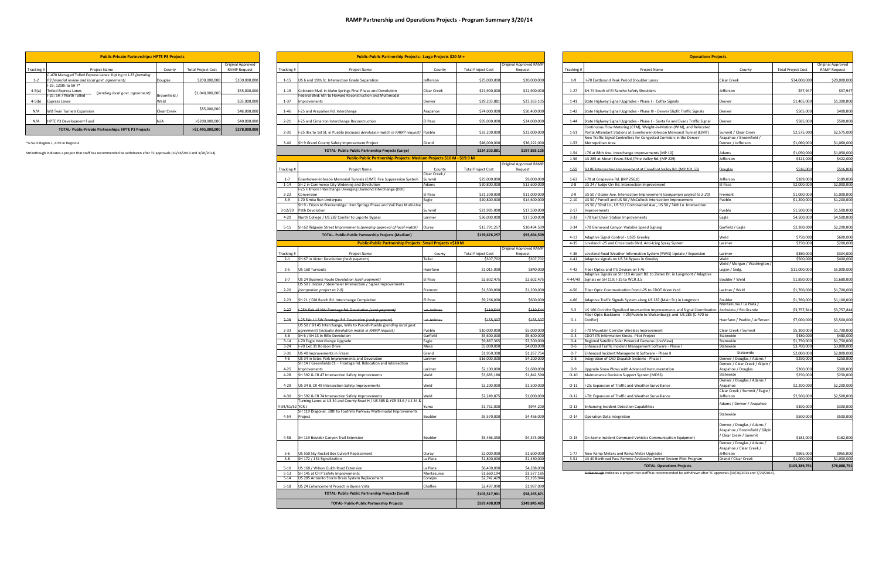|         | <b>Public-Private Partnerships: HPTE P3 Projects</b>                                                               |              |                           |                     |            | Public-Public Partnership Projects: Large Projects \$20 M +                                                                    |                         |                             |                                   | <b>Operations Projects</b> |                                                                                                                                                 |                                                                                        |                           |                          |  |  |
|---------|--------------------------------------------------------------------------------------------------------------------|--------------|---------------------------|---------------------|------------|--------------------------------------------------------------------------------------------------------------------------------|-------------------------|-----------------------------|-----------------------------------|----------------------------|-------------------------------------------------------------------------------------------------------------------------------------------------|----------------------------------------------------------------------------------------|---------------------------|--------------------------|--|--|
|         |                                                                                                                    |              |                           | Original Approved   |            |                                                                                                                                |                         |                             | <b>Driginal Approved RAMF</b>     |                            |                                                                                                                                                 |                                                                                        |                           | Original Approved        |  |  |
| cking # | Project Name                                                                                                       | County       | <b>Total Project Cost</b> | <b>RAMP Request</b> | Tracking # | Project Name                                                                                                                   | County                  | <b>Total Project Cost</b>   | Request                           | Tracking #                 | Project Name                                                                                                                                    | County                                                                                 | <b>Total Project Cost</b> | <b>RAMP Request</b>      |  |  |
| $1 - 2$ | C-470 Managed Tolled Express Lanes: Kipling to I-25 (pending<br>P3 financial review and local govt. agreement)     | Douglas      | \$200,000,000             | \$100,000,000       |            | 1-15 US 6 and 19th St. Intersection Grade Separation                                                                           | efferson                | \$25,000,000                | \$20,000,000                      | $1 - 9$                    | I-70 Eastbound Peak Period Shoulder Lanes                                                                                                       | Clear Creek                                                                            | \$34,000,000              | \$20,000,000             |  |  |
| -5(a)   | -25: 120th to SH 7*<br><b>Tolled Express Lanes</b>                                                                 |              |                           | \$55,000,000        |            | 1-19 Colorado Blvd. in Idaho Springs Final Phase and Devolution                                                                | Clear Creek             | \$21,900,000                | \$21,900,000                      | $1 - 27$                   | SH-74 South of El Rancho Safety Shoulders                                                                                                       | efferson                                                                               | \$57,947                  | \$57,947                 |  |  |
|         | (pending local govt. agreement)<br>-25: SH 7 North Tolled                                                          | Broomfield / | \$1,040,000,000           |                     |            | ederal Blyd: 6th to Howard Reconstruction and Multimodal                                                                       |                         |                             |                                   |                            |                                                                                                                                                 |                                                                                        |                           |                          |  |  |
| -5(b)   | <b>Express Lanes</b>                                                                                               | Weld         |                           | \$35,000,000        | $1 - 37$   | Improvements                                                                                                                   | Denver                  | \$29,203,88                 | \$23,363,10                       | $1 - 41$                   | State Highway Signal Upgrades - Phase I - Colfax Signals                                                                                        | <b>Denver</b>                                                                          | \$1,405,000               | \$1,300,000              |  |  |
| N/A     | <b>WB Twin Tunnels Expansion</b>                                                                                   | Clear Creek  | \$55,000,000              | \$48,000,000        | $1 - 46$   | I-25 and Arapahoe Rd. Interchange                                                                                              | Arapahoe                | \$74,000,000                | \$50,400,000                      | $1 - 42$                   | State Highway Signal Upgrades - Phase III - Denver Slipfit Traffic Signals                                                                      | Denver                                                                                 | \$505,000                 | \$400,000                |  |  |
| N/A     | HPTE P3 Development Fund                                                                                           | N/A          | >\$200,000,000            | \$40,000,000        | $2 - 21$   | I-25 and Cimarron Interchange Reconstruction                                                                                   | l Paso                  | \$95,000,000                | \$24,000,000                      | $1 - 44$                   | State Highway Signal Upgrades - Phase I - Santa Fe and Evans Traffic Signal                                                                     | <b>Denver</b>                                                                          | \$585,000                 | \$500,000                |  |  |
|         | TOTAL- Public-Private Partnerships: HPTE P3 Projects                                                               |              | >\$1,495,000,000          | \$278,000,000       |            | 2-31   I-25 Ilex to 1st St. in Pueblo (includes devolution match in RAMP request)   Pueblo                                     |                         | \$33,200,000                | \$22,000,000                      | $1 - 51$                   | Continuous Flow Metering (CFM), Weight-in-Motion (WIM), and Relocated<br>Portal Attendant Stations at Eisenhower-Johnson Memorial Tunnel (EJMT) | Summit / Clear Creek                                                                   | \$2,575,000               | \$2,575,000              |  |  |
|         |                                                                                                                    |              |                           |                     |            |                                                                                                                                |                         |                             |                                   |                            | New Traffic Signal Controllers for Congested Corridors in the Denver                                                                            | Arapahoe / Broomfield /                                                                |                           |                          |  |  |
|         | a in Region 1, 4-5b in Region 4                                                                                    |              |                           |                     |            | 3-40 SH 9 Grand County Safety Improvement Project                                                                              | Grand                   | \$46,000,000                | \$36,222,000                      | $1 - 53$                   | Metropolitan Area                                                                                                                               | Denver / Jefferson                                                                     | \$1,060,000               | \$1,060,000              |  |  |
|         | ethough indicates a project that staff has recommended be withdrawn after TC approvals (10/16/2013 and 3/20/2014). |              |                           |                     |            | <b>TOTAL- Public-Public Partnership Projects (Large)</b>                                                                       |                         | \$324,303,881               | \$197,885,10                      | $1 - 54$                   | -76 at 88th Ave. Interchange Improvements (MP 10)                                                                                               | Adams                                                                                  | \$1,050,000               | \$1,050,000              |  |  |
|         |                                                                                                                    |              |                           |                     |            | Public-Public Partnership Projects: Medium Projects \$10 M - \$19.9 M                                                          |                         |                             | Original Approved RAMF            | $1 - 56$                   | US 285 at Mount Evans Blvd./Pine Valley Rd. (MP 229)                                                                                            | Jefferson                                                                              | \$422,000                 | \$422,000                |  |  |
|         |                                                                                                                    |              |                           |                     | Tracking # | Project Name                                                                                                                   | County                  | <b>Total Project Cost</b>   | Request                           | $1 - 59$                   | SH 86 Intersection Improvement at Crowfoot Valley Rd. (MP 101.53)                                                                               | ouglas                                                                                 | \$516,000                 | \$516,000                |  |  |
|         |                                                                                                                    |              |                           |                     | $1 - 7$    | Eisenhower-Johnson Memorial Tunnels (EJMT) Fire Suppression System                                                             | Clear Creek /<br>summit | \$25,000,000                | \$9,000,000                       | $1 - 63$                   | I-70 at Grapevine Rd. (MP 256.0)                                                                                                                | efferson                                                                               | \$189,000                 | \$189,000                |  |  |
|         |                                                                                                                    |              |                           |                     |            | 1-14 SH 2 in Commerce City Widening and Devolution<br>-25 Fillmore Interchange Diverging Diamond Interchange (DDI)             | Adams                   | \$20,800,000                | \$13,600,000                      | $2 - 8$                    | US 24 / Judge Orr Rd. Intersection Improvement                                                                                                  | El Paso                                                                                | \$2,000,000               | \$2,000,000              |  |  |
|         |                                                                                                                    |              |                           |                     | $2 - 22$   | Conversion                                                                                                                     | l Paso                  | \$21,300,000                | \$11,000,000                      | $2 - 9$                    | US 50 / Dozier Ave. Intersection Improvement (companion project to 2-20)                                                                        | Fremont                                                                                | \$1,000,000               | \$1,000,000              |  |  |
|         |                                                                                                                    |              |                           |                     | $3 - 9$    | I-70 Simba Run Underpass<br>SH 9 - Frisco to Breckenridge: Iron Springs Phase and Vail Pass Multi-Use                          | agle                    | \$20,800,000                | \$14,600,000                      | $2 - 10$                   | US 50 / Purcell and US 50 / McCullock Intersection Improvement<br>US 50 / 32nd Ln., US 50 / Cottonwood Ave., US 50 / 34th Ln. Intersection      | ueblo                                                                                  | \$1,200,000               | \$1,200,000              |  |  |
|         |                                                                                                                    |              |                           |                     |            | 3-12/29 Path Devolution                                                                                                        | Summit                  | \$21,985,000                | \$17,500,000                      | $2 - 17$                   | Improvements                                                                                                                                    | Pueblo                                                                                 | \$1,500,000               | \$1,500,000              |  |  |
|         |                                                                                                                    |              |                           |                     |            | 4-20 North College / US 287 Conifer to Laporte Bypass                                                                          | Larimer                 | \$36,000,000                | \$17,500,000                      | $3 - 33$                   | -70 Vail Chain Station Improvements                                                                                                             | Eagle                                                                                  | \$4,500,000               | \$4,500,000              |  |  |
|         |                                                                                                                    |              |                           |                     |            | 5-15 SH 62 Ridgway Street Improvements (pending approval of local match) Ouray                                                 |                         | \$13,791,257                | \$10,494,509                      | $3 - 34$                   | I-70 Glenwood Canyon Variable Speed Signing                                                                                                     | Garfield / Eagle                                                                       | \$2,200,000               | \$2,200,000              |  |  |
|         |                                                                                                                    |              |                           |                     |            | TOTAL- Public-Public Partnership Projects (Medium)                                                                             |                         | \$159,676,257               | \$93,694,509                      | $4 - 13$                   | Adaptive Signal Control - US85 Greeley                                                                                                          | Weld                                                                                   | \$750,000                 | \$600,000                |  |  |
|         |                                                                                                                    |              |                           |                     |            | <b>Public-Public Partnership Projects: Small Projects &lt;\$10 M</b>                                                           |                         |                             |                                   | $4 - 35$                   | Loveland I-25 and Crossroads Blvd. Anti-Icing Spray System                                                                                      | Larimer                                                                                | \$250,000                 | \$200,000                |  |  |
|         |                                                                                                                    |              |                           |                     | Tracking # | Project Name                                                                                                                   | County                  | <b>Total Project Cost</b>   | Driginal Approved RAMI<br>Request | $4 - 36$                   | Loveland Road Weather Information System (RWIS) Update / Expansion                                                                              | Larimer                                                                                | \$380,000                 | \$304,000                |  |  |
|         |                                                                                                                    |              |                           |                     |            | 2-1 SH 67 in Victor Devolution (cash payment)                                                                                  | Teller                  | \$307,702                   | \$307,702                         | $4 - 41$                   | Adaptive signals on US 34 Bypass in Greeley                                                                                                     | Weld                                                                                   | \$500,000                 | \$400,000                |  |  |
|         |                                                                                                                    |              |                           |                     |            | 2-5 US 160 Turnouts                                                                                                            | luerfano                | \$1,015,000                 | \$840,000                         | $4 - 42$                   | Fiber Optics and ITS Devices on I-76                                                                                                            | Weld / Morgan / Washington<br>ogan / Sedg.                                             | \$11,000,000              | \$5,000,000              |  |  |
|         |                                                                                                                    |              |                           |                     |            | 2-7 US 24 Business Route Devolution (cash payment)                                                                             |                         | \$2,602,475                 | \$2,602,475                       |                            | Adaptive Signals on SH 119 Airport Rd. to Zlaten Dr. in Longmont / Adaptive<br>4-44/49 Signals on SH 119: I-25 to WCR 3.5                       |                                                                                        | \$1,850,000               | \$1,680,000              |  |  |
|         |                                                                                                                    |              |                           |                     |            | US 50 / Dozier / Steinmeier Intersection / Signal Improvements                                                                 | El Paso                 |                             |                                   |                            |                                                                                                                                                 | Boulder / Weld                                                                         |                           |                          |  |  |
|         |                                                                                                                    |              |                           |                     | $2 - 20$   | (companion project to 2-9)                                                                                                     | Fremont                 | \$1,500,000                 | \$1,200,000                       | 4-50                       | Fiber Optic Communication from I-25 to CDOT West Yard                                                                                           | Larimer / Weld                                                                         | \$1,700,000               | \$1,700,000              |  |  |
|         |                                                                                                                    |              |                           |                     |            | 2-23 SH 21 / Old Ranch Rd. Interchange Completion                                                                              | l Paso                  | \$9,266,000                 | \$600,000                         | 4-66                       | Adaptive Traffic Signals System along US 287 (Main St.) in Longmont                                                                             | ioulder                                                                                | \$1,760,000               | \$1,100,000              |  |  |
|         |                                                                                                                    |              |                           |                     | $2 - 27$   | I-25A Exit 18 NW Frontage Rd. Devolution (cash payment)                                                                        | as Animas               | \$110,544                   | \$110,544                         | $5 - 3$                    | US 160 Corridor Signalized Intersection Improvements and Signal Coordination                                                                    | / Aontezuma / La Plata<br>Archuleta / Rio Grande                                       | \$3,757,844               | \$3,757,844              |  |  |
|         |                                                                                                                    |              |                           |                     |            | 2-29   1-25 Exit 11 SW Frontage Rd. Devolution (cash payment)                                                                  | as Animas               | \$155,307                   | \$155,307                         | $O-1$                      | Fiber Optic Backbone - I-25(Pueblo to Walsenburg); and US 285 (C-470 to<br>Conifer)                                                             | Huerfano / Pueblo / Jefferson                                                          | \$7,000,000               | \$3,500,000              |  |  |
|         |                                                                                                                    |              |                           |                     |            | US 50 / SH 45 Interchange, Wills to Purcell-Pueblo (pending local govt.                                                        |                         |                             |                                   |                            |                                                                                                                                                 |                                                                                        |                           |                          |  |  |
|         |                                                                                                                    |              |                           |                     | $2 - 33$   | agreement) (includes devolution match in RAMP request)<br>3-6 SH 6 / SH 13 in Rifle Devolution                                 | Pueblo<br>Garfield      | \$10,000,000<br>\$5,600,000 | \$5,000,000<br>\$5,600,000        | $O-2$<br>$O-3$             | -70 Mountain Corridor Wireless Improvement<br><b>CDOT ITS Information Kiosks- Pilot Project</b>                                                 | Clear Creek / Summit<br>Statewide                                                      | \$5,300,000<br>\$480,000  | \$1,700,000<br>\$480,000 |  |  |
|         |                                                                                                                    |              |                           |                     |            | 3-14 I-70 Eagle Interchange Upgrade                                                                                            | Eagle                   | \$9,887,365                 | \$3,500,000                       | $O-4$                      | Regional Satellite Solar Powered Cameras (LiveView)                                                                                             | Statewide                                                                              | \$1,750,000               | \$1,750,000              |  |  |
|         |                                                                                                                    |              |                           |                     |            | 3-24 I-70 Exit 31 Horizon Drive                                                                                                | Mesa                    | \$5,000,000                 | \$4,000,000                       | O-6                        | Enhanced Traffic Incident Management Software - Phase I                                                                                         | Statewide                                                                              | \$3,700,000               | \$3,000,000              |  |  |
|         |                                                                                                                    |              |                           |                     | $3 - 31$   | US 40 Improvements in Fraser                                                                                                   | Grand                   | \$1,950,390                 | \$1,267,754                       | $O-7$                      | Enhanced Incident Management Software - Phase II                                                                                                | Statewide                                                                              | \$2,000,000               | \$2,000,000              |  |  |
|         |                                                                                                                    |              |                           |                     |            | 4-6 US 34 in Estes Park Improvements and Devolution<br>SH 14 / Greenfields Ct. - Frontage Rd. Relocation and Intersection      | Larimer                 | \$16,000,000                | \$4,200,000                       | $O-8$                      | ntegration of CAD Dispatch Systems - Phase I                                                                                                    | Denver / Douglas / Adams /<br>Denver / Clear Creek / Gilpin /                          | \$250,000                 | \$250,000                |  |  |
|         |                                                                                                                    |              |                           |                     | $4 - 25$   | Improvements                                                                                                                   | Larimer                 | \$2,100,000                 | \$1,680,000                       | $O-9$                      | Upgrade Snow Plows with Advanced Instrumentation                                                                                                | Arapahoe / Douglas                                                                     | \$300,000                 | \$300,000                |  |  |
|         |                                                                                                                    |              |                           |                     |            | 4-28 SH 392 & CR 47 Intersection Safety Improvements                                                                           | Weld                    | \$3,685,180                 | \$1,842,590                       |                            | O-10 Maintenance Decision Support System (MDSS)                                                                                                 | Statewide                                                                              | \$250,000                 | \$250,000                |  |  |
|         |                                                                                                                    |              |                           |                     |            | 4-29 US 34 & CR 49 Intersection Safety Improvements                                                                            | Weld                    | \$2,200,000                 | \$1,500,000                       | $O-11$                     | I-25: Expansion of Traffic and Weather Surveillance                                                                                             | Denver / Douglas / Adams /<br>Arapahoe                                                 | \$2,200,000               | \$2,200,000              |  |  |
|         |                                                                                                                    |              |                           |                     |            |                                                                                                                                |                         |                             |                                   |                            |                                                                                                                                                 | Clear Creek / Summit / Eagle /                                                         |                           |                          |  |  |
|         |                                                                                                                    |              |                           |                     |            | 4-30 SH 392 & CR 74 Intersection Safety Improvements<br>Turning Lanes at US 34 and County Road H / US 385 & YCR 33.6 / US 34 & | Weld                    | \$2,249,875                 | \$1,000,000                       | $O-12$                     | I-70: Expansion of Traffic and Weather Surveillance                                                                                             | efferson<br>Adams / Denver / Arapahoe                                                  | \$2,500,000               | \$2,500,000              |  |  |
|         |                                                                                                                    |              |                           |                     |            | 4-34/51/52 YCR J<br>SH 119 Diagonal: 30th to Foothills Parkway Multi-modal Improvements                                        |                         | \$1,752,000                 | \$944,200                         | $O-13$                     | <b>Enhancing Incident Detection Capabilities</b>                                                                                                |                                                                                        | \$300,000                 | \$300,000                |  |  |
|         |                                                                                                                    |              |                           |                     |            | 4-54 Project                                                                                                                   | Boulder                 | \$5,570,000                 | \$4,456,000                       |                            | O-14 Operation Data Integration                                                                                                                 | Statewide                                                                              | \$500,000                 | \$500,000                |  |  |
|         |                                                                                                                    |              |                           |                     |            | 4-58 SH 119 Boulder Canyon Trail Extension                                                                                     | oulder                  | \$5,466,350                 | \$4,373,080                       |                            | O-15 On-Scene Incident Command Vehicles Communication Equipment                                                                                 | Denver / Douglas / Adams /<br>Arapahoe / Broomfield / Gilpin<br>/ Clear Creek / Summit | \$182,000                 | \$182,000                |  |  |
|         |                                                                                                                    |              |                           |                     |            |                                                                                                                                |                         |                             |                                   |                            |                                                                                                                                                 | Denver / Douglas / Adams /                                                             |                           |                          |  |  |
|         |                                                                                                                    |              |                           |                     |            | 5-6 US 550 Sky Rocket Box Culvert Replacement                                                                                  | Ouray                   | \$2,000,000                 | \$1,600,000                       | $1 - 77$                   | New Ramp Meters and Ramp Meter Upgrades                                                                                                         | Arapahoe / Clear Creek /<br>Jefferson                                                  | \$965,000                 | \$965,000                |  |  |
|         |                                                                                                                    |              |                           |                     |            | 5-8 SH 172 / 151 Signalization                                                                                                 | La Plata                | \$1,800,000                 | \$1,430,000                       |                            | 3-51 US 40 Berthoud Pass Remote Avalanche Control System Pilot Program                                                                          | Grand / Clear Creek                                                                    | \$1,000,000               | \$1,000,000              |  |  |
|         |                                                                                                                    |              |                           |                     | $5 - 10$   | US 160 / Wilson Gulch Road Extension                                                                                           | a Plata                 | \$6,400,000                 | \$4,288,000                       |                            | <b>TOTAL- Operations Projects</b>                                                                                                               |                                                                                        | \$105,389,791             | \$76,088,791             |  |  |
|         |                                                                                                                    |              |                           |                     |            | 5-13 SH 145 at CR P Safety Improvements                                                                                        | Montezuma               | \$1,660,194                 | \$1,577,185                       |                            | Strikethough indicates a project that staff has recommended be withdrawn after TC approvals (10/16/2013 and 3/20/2014).                         |                                                                                        |                           |                          |  |  |
|         |                                                                                                                    |              |                           |                     |            | 5-14 US 285 Antonito Storm Drain System Replacement                                                                            | Conejos                 | \$2,742,429                 | \$2,193,944                       |                            |                                                                                                                                                 |                                                                                        |                           |                          |  |  |

|            | <b>Public-Private Partnerships: HPTE P3 Projects</b>                                                           |                      |                           |                                          |  |            |                 |  |  |  |  |  |  |  |
|------------|----------------------------------------------------------------------------------------------------------------|----------------------|---------------------------|------------------------------------------|--|------------|-----------------|--|--|--|--|--|--|--|
| Tracking # | <b>Project Name</b>                                                                                            | County               | <b>Total Project Cost</b> | Original Approved<br><b>RAMP Request</b> |  | Tracking # |                 |  |  |  |  |  |  |  |
| $1 - 2$    | C-470 Managed Tolled Express Lanes: Kipling to I-25 (pending<br>P3 financial review and local govt. agreement) | Douglas              | \$200,000,000             | \$100,000,000                            |  | $1 - 15$   | US <sub>1</sub> |  |  |  |  |  |  |  |
| $4-5(a)$   | I-25: 120th to SH 7*<br><b>Tolled Express Lanes</b><br>(pending local govt. agreement)                         |                      | \$1,040,000,000           | \$55,000,000                             |  | $1 - 19$   | Col             |  |  |  |  |  |  |  |
| $4-5(b)$   | I-25: SH 7 North Tolled<br><b>Express Lanes</b>                                                                | Broomfield /<br>Weld |                           | \$35,000,000                             |  | $1 - 37$   | Fed<br>Imp      |  |  |  |  |  |  |  |
| N/A        | <b>WB Twin Tunnels Expansion</b>                                                                               | <b>Clear Creek</b>   | \$55,000,000              | \$48,000,000                             |  | $1 - 46$   | $1 - 25$        |  |  |  |  |  |  |  |
| N/A        | HPTE P3 Development Fund                                                                                       | N/A                  | >\$200,000,000            | \$40,000,000                             |  | $2 - 21$   | $1 - 25$        |  |  |  |  |  |  |  |
|            | <b>TOTAL- Public-Private Partnerships: HPTE P3 Projects</b>                                                    |                      | >\$1,495,000,000          | \$278,000,000                            |  | $2 - 31$   | $-25$           |  |  |  |  |  |  |  |

| e Partnerships: HPTE P3 Projects<br>Original Approved<br><b>Total Project Cost</b><br><b>RAMP Request</b><br>County<br>to I-25 (pending<br>\$200,000,000<br>\$100,000,000<br>Douglas |              |                                                         | Public-Public Partnership Projects: Large Projects \$20 M + |                   |                                                                                                                                   |                         |                              | <b>Operations Projects</b>        |                      |                                                                                                                                                                                |                                                          |  |
|--------------------------------------------------------------------------------------------------------------------------------------------------------------------------------------|--------------|---------------------------------------------------------|-------------------------------------------------------------|-------------------|-----------------------------------------------------------------------------------------------------------------------------------|-------------------------|------------------------------|-----------------------------------|----------------------|--------------------------------------------------------------------------------------------------------------------------------------------------------------------------------|----------------------------------------------------------|--|
|                                                                                                                                                                                      |              |                                                         |                                                             |                   |                                                                                                                                   |                         |                              | Original Approved RAMP            |                      |                                                                                                                                                                                |                                                          |  |
|                                                                                                                                                                                      |              |                                                         |                                                             | Tracking #        | Project Name                                                                                                                      | County                  | <b>Total Project Cost</b>    | Request                           | Tracking#            | <b>Project Name</b>                                                                                                                                                            | County                                                   |  |
|                                                                                                                                                                                      |              |                                                         |                                                             | $1 - 15$          | US 6 and 19th St. Intersection Grade Separation                                                                                   | Jefferson               | \$25,000,00                  | \$20,000,000                      | $1 - 9$              | I-70 Eastbound Peak Period Shoulder Lanes                                                                                                                                      | Clear Creek                                              |  |
|                                                                                                                                                                                      |              |                                                         |                                                             |                   |                                                                                                                                   | <b>Clear Creek</b>      | \$21,900,000                 | \$21,900,000                      |                      | SH-74 South of El Rancho Safety Shoulders                                                                                                                                      | lefferson                                                |  |
| ovt. agreement)                                                                                                                                                                      | Broomfield / | \$1,040,000,000                                         | \$55,000,000                                                | $1 - 19$          | Colorado Blvd. in Idaho Springs Final Phase and Devolution<br>Federal Blvd: 6th to Howard Reconstruction and Multimodal           |                         |                              |                                   | $1 - 27$             |                                                                                                                                                                                |                                                          |  |
|                                                                                                                                                                                      | Weld         |                                                         | \$35,000,000                                                | $1 - 37$          | Improvements                                                                                                                      | Denver                  | \$29,203,88                  | \$23,363,105                      | $1 - 41$             | State Highway Signal Upgrades - Phase I - Colfax Signals                                                                                                                       | Denver                                                   |  |
|                                                                                                                                                                                      | Clear Creek  | \$55,000,000                                            | \$48,000,000                                                | $1 - 46$          | -25 and Arapahoe Rd. Interchange                                                                                                  | Arapahoe                | \$74,000,000                 | \$50,400,000                      | $1 - 42$             | State Highway Signal Upgrades - Phase III - Denver Slipfit Traffic Signals                                                                                                     | Denver                                                   |  |
|                                                                                                                                                                                      | N/A          | >\$200,000,000                                          | \$40,000,000                                                | $2 - 21$          | I-25 and Cimarron Interchange Reconstruction                                                                                      | El Paso                 | \$95,000,000                 | \$24,000,000                      | $1 - 44$             | State Highway Signal Upgrades - Phase I - Santa Fe and Evans Traffic Signal                                                                                                    | Denver                                                   |  |
| <b>PTE P3 Projects</b>                                                                                                                                                               |              | >\$1,495,000,000                                        | \$278,000,000                                               | $2 - 31$          | I-25 Ilex to 1st St. in Pueblo (includes devolution match in RAMP request) Pueblo                                                 |                         | \$33,200,000                 | \$22,000,000                      | $1 - 51$             | Continuous Flow Metering (CFM), Weight-in-Motion (WIM), and Relocated<br>Portal Attendant Stations at Eisenhower-Johnson Memorial Tunnel (EJMT)                                | Summit / Clear Creek                                     |  |
|                                                                                                                                                                                      |              |                                                         |                                                             | $3 - 40$          | SH 9 Grand County Safety Improvement Project                                                                                      | Grand                   | \$46,000,000                 | \$36,222,000                      | $1 - 53$             | New Traffic Signal Controllers for Congested Corridors in the Denver<br>Metropolitan Area                                                                                      | Arapahoe / Broomfield /<br>Denver / Jefferson            |  |
|                                                                                                                                                                                      |              | withdrawn after TC approvals (10/16/2013 and 3/20/2014) |                                                             |                   | TOTAL- Public-Public Partnership Projects (Large)                                                                                 |                         | \$324,303,881                | \$197,885,105                     | $1 - 54$             | I-76 at 88th Ave. Interchange Improvements (MP 10)                                                                                                                             | Adams                                                    |  |
|                                                                                                                                                                                      |              |                                                         |                                                             |                   | Public-Public Partnership Projects: Medium Projects \$10 M - \$19.9 M                                                             |                         |                              |                                   | $1 - 56$             | US 285 at Mount Evans Blvd./Pine Valley Rd. (MP 229)                                                                                                                           | Jefferson                                                |  |
|                                                                                                                                                                                      |              |                                                         |                                                             |                   |                                                                                                                                   |                         |                              | Original Approved RAMI            |                      |                                                                                                                                                                                |                                                          |  |
|                                                                                                                                                                                      |              |                                                         |                                                             | Tracking #        | Project Name                                                                                                                      | County<br>Clear Creek / | <b>Total Project Cost</b>    | Request                           | $1 - 59$             | SH 86 Intersection Improvement at Crowfoot Valley Rd. (MP 101.53)                                                                                                              | Douglas                                                  |  |
|                                                                                                                                                                                      |              |                                                         |                                                             | $1 - 7$           | Eisenhower-Johnson Memorial Tunnels (EJMT) Fire Suppression System                                                                | Summit                  | \$25,000,000                 | \$9,000,000                       | $1 - 63$             | I-70 at Grapevine Rd. (MP 256.0)                                                                                                                                               | Jefferson                                                |  |
|                                                                                                                                                                                      |              |                                                         |                                                             | $1 - 14$          | SH 2 in Commerce City Widening and Devolution                                                                                     | Adams                   | \$20,800,000                 | \$13,600,000                      | $2 - 8$              | US 24 / Judge Orr Rd. Intersection Improvement                                                                                                                                 | El Paso                                                  |  |
|                                                                                                                                                                                      |              |                                                         |                                                             |                   | I-25 Fillmore Interchange Diverging Diamond Interchange (DDI)                                                                     |                         |                              |                                   |                      |                                                                                                                                                                                |                                                          |  |
|                                                                                                                                                                                      |              |                                                         |                                                             | $2 - 22$<br>$3-9$ | Conversion<br>I-70 Simba Run Underpass                                                                                            | El Paso<br>Eagle        | \$21,300,000<br>\$20,800,000 | \$11,000,000<br>\$14,600,000      | $2 - 9$<br>$2 - 10$  | US 50 / Dozier Ave. Intersection Improvement (companion project to 2-20)<br>US 50 / Purcell and US 50 / McCullock Intersection Improvement                                     | Fremont<br>Pueblo                                        |  |
|                                                                                                                                                                                      |              |                                                         |                                                             |                   | SH 9 - Frisco to Breckenridge: Iron Springs Phase and Vail Pass Multi-Use                                                         |                         |                              |                                   |                      | US 50 / 32nd Ln., US 50 / Cottonwood Ave., US 50 / 34th Ln. Intersection                                                                                                       |                                                          |  |
|                                                                                                                                                                                      |              |                                                         |                                                             | $3-12/29$         | Path Devolution                                                                                                                   | Summit                  | \$21,985,000                 | \$17,500,000                      | $2 - 17$             | Improvements                                                                                                                                                                   | ueblo                                                    |  |
|                                                                                                                                                                                      |              |                                                         |                                                             | $4 - 20$          | North College / US 287 Conifer to Laporte Bypass                                                                                  | Larimer                 | \$36,000,000                 | \$17,500,000                      | $3 - 33$             | I-70 Vail Chain Station Improvements                                                                                                                                           | Eagle                                                    |  |
|                                                                                                                                                                                      |              |                                                         |                                                             | $5 - 15$          | SH 62 Ridgway Street Improvements (pending approval of local match)    Quray                                                      |                         | \$13,791,257                 | \$10,494,509                      | $3 - 34$             | I-70 Glenwood Canyon Variable Speed Signing                                                                                                                                    | Garfield / Eagle                                         |  |
|                                                                                                                                                                                      |              |                                                         |                                                             |                   | TOTAL- Public-Public Partnership Projects (Medium)                                                                                |                         | \$159,676,257                | \$93,694,509                      | $4 - 13$             | Adaptive Signal Control - US85 Greeley                                                                                                                                         | Weld                                                     |  |
|                                                                                                                                                                                      |              |                                                         |                                                             |                   | <b>Public-Public Partnership Projects: Small Projects &lt;\$10 M</b>                                                              |                         |                              |                                   | $4 - 35$             | Loveland I-25 and Crossroads Blvd. Anti-Icing Spray System                                                                                                                     | Larimer                                                  |  |
|                                                                                                                                                                                      |              |                                                         |                                                             | Fracking #        | Project Name                                                                                                                      | County                  | <b>Total Project Cost</b>    | Original Approved RAMI<br>Request | $4 - 36$             | Loveland Road Weather Information System (RWIS) Update / Expansion                                                                                                             | Larimer                                                  |  |
|                                                                                                                                                                                      |              |                                                         |                                                             | $2 - 1$           | SH 67 in Victor Devolution (cash payment)                                                                                         | Teller                  | \$307,702                    | \$307,70                          | $4 - 41$             | Adaptive signals on US 34 Bypass in Greeley                                                                                                                                    | Weld                                                     |  |
|                                                                                                                                                                                      |              |                                                         |                                                             | $2 - 5$           | US 160 Turnouts                                                                                                                   | Huerfano                | \$1,015,000                  | \$840,000                         | $4 - 42$             | Fiber Optics and ITS Devices on I-76                                                                                                                                           | Weld / Morgan / Washington /<br>Logan / Sedg             |  |
|                                                                                                                                                                                      |              |                                                         |                                                             | $2 - 7$           | US 24 Business Route Devolution (cash payment)                                                                                    | El Paso                 | \$2,602,475                  | \$2,602,475                       |                      | Adaptive Signals on SH 119 Airport Rd. to Zlaten Dr. in Longmont / Adaptive<br>4-44/49 Signals on SH 119: I-25 to WCR 3.5                                                      | Boulder / Weld                                           |  |
|                                                                                                                                                                                      |              |                                                         |                                                             | $2 - 20$          | US 50 / Dozier / Steinmeier Intersection / Signal Improvements<br>(companion project to 2-9)                                      | Fremont                 | \$1,500,000                  | \$1,200,000                       | $4 - 50$             | Fiber Optic Communication from I-25 to CDOT West Yard                                                                                                                          | Larimer / Weld                                           |  |
|                                                                                                                                                                                      |              |                                                         |                                                             |                   |                                                                                                                                   |                         |                              |                                   |                      |                                                                                                                                                                                |                                                          |  |
|                                                                                                                                                                                      |              |                                                         |                                                             | $2 - 23$          | SH 21 / Old Ranch Rd. Interchange Completion                                                                                      | El Paso                 | \$9,266,000                  | \$600,000                         | $4 - 66$             | Adaptive Traffic Signals System along US 287 (Main St.) in Longmont                                                                                                            | Boulder<br>Montezuma / La Plata /                        |  |
|                                                                                                                                                                                      |              |                                                         |                                                             | $2 - 27$          | I-25A Exit 18 NW Frontage Rd. Devolution (cash payment)                                                                           | Las Animas              | \$110,544                    | \$110,544                         | $5 - 3$              | US 160 Corridor Signalized Intersection Improvements and Signal Coordination Archuleta / Rio Grande<br>Fiber Optic Backbone - I-25(Pueblo to Walsenburg); and US 285 (C-470 to |                                                          |  |
|                                                                                                                                                                                      |              |                                                         |                                                             | 2-29              | 1-25 Exit 11 SW Frontage Rd. Devolution (cash payment)<br>US 50 / SH 45 Interchange, Wills to Purcell-Pueblo (pending local govt. | as Animas               | \$155,307                    | \$155,307                         | $O-1$                | Conifer)                                                                                                                                                                       | Huerfano / Pueblo / Jefferson                            |  |
|                                                                                                                                                                                      |              |                                                         |                                                             | $2 - 33$          | agreement) (includes devolution match in RAMP request)                                                                            | Pueblo                  | \$10,000,000                 | \$5,000,000                       | $O-2$                | I-70 Mountain Corridor Wireless Improvement                                                                                                                                    | Clear Creek / Summit                                     |  |
|                                                                                                                                                                                      |              |                                                         |                                                             | $3-6$             | SH 6 / SH 13 in Rifle Devolution                                                                                                  | Garfield                | \$5,600,000                  | \$5,600,000                       | $O-3$                | <b>CDOT ITS Information Kiosks- Pilot Project</b>                                                                                                                              | Statewide                                                |  |
|                                                                                                                                                                                      |              |                                                         |                                                             | $3 - 14$          | I-70 Eagle Interchange Upgrade                                                                                                    | Eagle                   | \$9,887,365                  | \$3,500,000                       | $O-4$                | Regional Satellite Solar Powered Cameras (LiveView)                                                                                                                            | Statewide                                                |  |
|                                                                                                                                                                                      |              |                                                         |                                                             | $3 - 24$          | I-70 Exit 31 Horizon Drive                                                                                                        | Mesa                    | \$5,000,000                  | \$4,000,000                       | $O-6$                | Enhanced Traffic Incident Management Software - Phase I                                                                                                                        | Statewide                                                |  |
|                                                                                                                                                                                      |              |                                                         |                                                             | $3 - 31$          | US 40 Improvements in Fraser                                                                                                      | Grand                   | \$1,950,390                  | \$1,267,75                        | $O-7$                | Enhanced Incident Management Software - Phase II                                                                                                                               | Statewide                                                |  |
|                                                                                                                                                                                      |              |                                                         |                                                             | 4-6               | US 34 in Estes Park Improvements and Devolution                                                                                   | Larimer                 | \$16,000,000                 | \$4,200,000                       | $O-8$                | Integration of CAD Dispatch Systems - Phase I                                                                                                                                  | Denver / Douglas / Adams /                               |  |
|                                                                                                                                                                                      |              |                                                         |                                                             |                   | SH 14 / Greenfields Ct. - Frontage Rd. Relocation and Intersection                                                                |                         |                              |                                   |                      |                                                                                                                                                                                | Denver / Clear Creek / Gilpin /                          |  |
|                                                                                                                                                                                      |              |                                                         |                                                             | $4 - 25$          | Improvements                                                                                                                      | Larimer                 | \$2,100,000                  | \$1,680,000                       | $O-9$                | Upgrade Snow Plows with Advanced Instrumentation                                                                                                                               | Arapahoe / Douglas                                       |  |
|                                                                                                                                                                                      |              |                                                         |                                                             | $4 - 28$          | SH 392 & CR 47 Intersection Safety Improvements                                                                                   | Weld                    | \$3,685,180                  | \$1,842,590                       |                      | O-10 Maintenance Decision Support System (MDSS)                                                                                                                                | Statewide<br>Denver / Douglas / Adams /                  |  |
|                                                                                                                                                                                      |              |                                                         |                                                             | 4-29              | US 34 & CR 49 Intersection Safety Improvements                                                                                    | Weld                    | \$2,200,000                  | \$1,500,000                       | 0-11                 | I-25: Expansion of Traffic and Weather Surveillance                                                                                                                            | Arapahoe<br>Clear Creek / Summit / Eagle /               |  |
|                                                                                                                                                                                      |              |                                                         |                                                             | $4 - 30$          | SH 392 & CR 74 Intersection Safety Improvements<br>Turning Lanes at US 34 and County Road H / US 385 & YCR 33.6 / US 34 &         | Weld                    | \$2,249,875                  | \$1,000,000                       | $O-12$               | I-70: Expansion of Traffic and Weather Surveillance                                                                                                                            | Jefferson                                                |  |
|                                                                                                                                                                                      |              |                                                         |                                                             | 4-34/51/52 YCR J  |                                                                                                                                   | Yuma                    | \$1,752,000                  | \$944,200                         | $O-13$               | <b>Enhancing Incident Detection Capabilities</b>                                                                                                                               | Adams / Denver / Arapahoe                                |  |
|                                                                                                                                                                                      |              |                                                         |                                                             | $4 - 54$          | SH 119 Diagonal: 30th to Foothills Parkway Multi-modal Improvements<br>Project                                                    | Boulder                 | \$5,570,000                  | \$4,456,000                       | $O-14$               | Operation Data Integration                                                                                                                                                     | Statewide                                                |  |
|                                                                                                                                                                                      |              |                                                         |                                                             |                   |                                                                                                                                   |                         |                              |                                   |                      |                                                                                                                                                                                | Denver / Douglas / Adams /                               |  |
|                                                                                                                                                                                      |              |                                                         |                                                             |                   |                                                                                                                                   |                         |                              |                                   |                      |                                                                                                                                                                                | Arapahoe / Broomfield / Gilpin<br>/ Clear Creek / Summit |  |
|                                                                                                                                                                                      |              |                                                         |                                                             | 4-58              | SH 119 Boulder Canyon Trail Extension                                                                                             | Boulder                 | \$5,466,350                  | \$4,373,080                       | $O-15$               | On-Scene Incident Command Vehicles Communication Equipment                                                                                                                     | Denver / Douglas / Adams /                               |  |
|                                                                                                                                                                                      |              |                                                         |                                                             |                   |                                                                                                                                   |                         |                              |                                   |                      |                                                                                                                                                                                | Arapahoe / Clear Creek /                                 |  |
|                                                                                                                                                                                      |              |                                                         |                                                             | 5-6<br>$5 - 8$    | US 550 Sky Rocket Box Culvert Replacement<br>SH 172 / 151 Signalization                                                           | Ouray<br>La Plata       | \$2,000,000<br>\$1,800,000   | \$1,600,000<br>\$1,430,000        | $1 - 77$<br>$3 - 51$ | New Ramp Meters and Ramp Meter Upgrades<br>US 40 Berthoud Pass Remote Avalanche Control System Pilot Program                                                                   | Jefferson<br>Grand / Clear Creek                         |  |
|                                                                                                                                                                                      |              |                                                         |                                                             | $5 - 10$          | US 160 / Wilson Gulch Road Extension                                                                                              | La Plata                | \$6,400,000                  | \$4,288,000                       |                      | <b>TOTAL- Operations Projects</b>                                                                                                                                              |                                                          |  |
|                                                                                                                                                                                      |              |                                                         |                                                             | $5 - 13$          | SH 145 at CR P Safety Improvements                                                                                                | Montezuma               | \$1,660,194                  | \$1,577,185                       |                      | Strikethough indicates a project that staff has recommended be withdrawn after TC approvals (10/16/2013 and 3/20/2014)                                                         |                                                          |  |
|                                                                                                                                                                                      |              |                                                         |                                                             | $5 - 14$          | US 285 Antonito Storm Drain System Replacement                                                                                    | Conejos                 | \$2,742,429                  | \$2,193,944                       |                      |                                                                                                                                                                                |                                                          |  |
|                                                                                                                                                                                      |              |                                                         |                                                             | $5 - 18$          | US 24 Enhancement Project in Buena Vista                                                                                          | Chaffee                 | \$2,497,090                  | \$1,997,090                       |                      |                                                                                                                                                                                |                                                          |  |
|                                                                                                                                                                                      |              |                                                         |                                                             |                   | <b>TOTAL- Public-Public Partnership Projects (Small)</b>                                                                          |                         | \$103,517,901                | \$58,265,87                       |                      |                                                                                                                                                                                |                                                          |  |
|                                                                                                                                                                                      |              |                                                         |                                                             |                   | TOTAL- Public-Public Partnership Projects                                                                                         |                         | \$587,498,039                | \$349,845,485                     |                      |                                                                                                                                                                                |                                                          |  |

\*4‐5a in Region 1, 4‐5b in Region 4

Strikethough indicates <sup>a</sup> project that staff has recommended be withdrawn after TC approvals (10/16/2013 and 3/20/2014).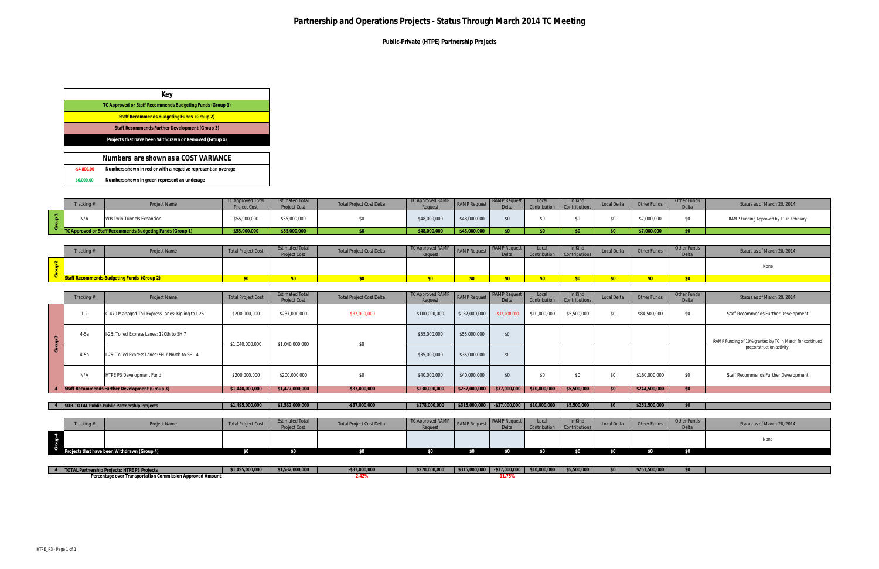**Public-Private (HTPE) Partnership Projects**

|               | Tracking # | Project Name                     | <b>TC Approved Total</b><br><b>Project Cost</b> | <b>Estimated Total</b><br><b>Project Cost</b> | <b>Total Project Cost Delta</b> | TC Approved RAMP<br>Request | RAMP Request | Delta       | Local | In Kind<br><b>Contributions</b> | <b>Local Delta</b> | Other Funds | Other Funds<br>D <sub>0</sub> | Status as of March 20, 2014             |
|---------------|------------|----------------------------------|-------------------------------------------------|-----------------------------------------------|---------------------------------|-----------------------------|--------------|-------------|-------|---------------------------------|--------------------|-------------|-------------------------------|-----------------------------------------|
| $\sim$ $\sim$ | N/A        | <b>WB Twin Tunnels Expansion</b> | \$55,000,000                                    | \$55,000,000                                  | ΨU                              | \$48,000,000                | \$48,000,000 | $\triangle$ |       |                                 |                    | \$7,000,000 |                               | RAMP Funding Approved by TC in February |
|               |            |                                  | \$55,000,000                                    | \$55,000,000                                  |                                 | 18,000,000                  | \$48,000,000 |             |       |                                 |                    | \$7,000,000 | $\triangle$                   |                                         |
|               |            |                                  |                                                 |                                               |                                 |                             |              |             |       |                                 |                    |             |                               |                                         |

| Tracking# | Project Name | <b>Total Project Cost</b> | <b>Estimated Total</b><br><b>Project Cost</b> | <b>Total Project Cost Delta</b> | TC Approved RAMP<br>Request | <b>RAMP</b> Reques. | <b>RAMP</b><br>Delta | Local<br>Contribution | In Kind<br><b>Contributions</b> | Local Delta | Other Funds | Other Funds<br>D <sub>0</sub> H <sub>0</sub><br><b>D</b> uitu | Status as of March 20, 2014 |
|-----------|--------------|---------------------------|-----------------------------------------------|---------------------------------|-----------------------------|---------------------|----------------------|-----------------------|---------------------------------|-------------|-------------|---------------------------------------------------------------|-----------------------------|
|           |              |                           |                                               |                                 |                             |                     |                      |                       |                                 |             |             |                                                               | None                        |
|           |              |                           |                                               |                                 |                             |                     |                      |                       |                                 |             |             |                                                               |                             |
|           |              |                           |                                               |                                 |                             |                     |                      |                       |                                 |             |             |                                                               |                             |

|                | Numbers are shown as a COST VARIANCE                         |
|----------------|--------------------------------------------------------------|
| $-$ \$4.800.00 | Numbers shown in red or with a negative represent an overage |
| \$6,000.00     | Numbers shown in green represent an underage                 |

|                         | Tracking # | Project Name                                      | <b>Total Project Cost</b> | <b>Estimated Total</b><br><b>Project Cost</b> | <b>Total Project Cost Delta</b> | TC Approved RAMP<br>Request | <b>RAMP</b> Request                                                                             | <b>RAMP Request</b><br>Delta | Local<br>Contribution         | In Kind<br>Contributions | Local Delta   | Other Funds   | Other Funds<br>Delta | Status as of March 20, 2014                              |
|-------------------------|------------|---------------------------------------------------|---------------------------|-----------------------------------------------|---------------------------------|-----------------------------|-------------------------------------------------------------------------------------------------|------------------------------|-------------------------------|--------------------------|---------------|---------------|----------------------|----------------------------------------------------------|
|                         | $1-2$      | C-470 Managed Toll Express Lanes: Kipling to I-25 | \$200,000,000             | \$237,000,000                                 | $-$ \$37,000,000                | \$100,000,000               | \$137,000,000                                                                                   | $-$ \$37,000,000             | \$10,000,000                  | \$5,500,000              | \$0           | \$84,500,000  | \$0                  | Staff Recommends Further Development                     |
| $\sim$<br>$\Rightarrow$ | $4-5a$     | I-25: Tolled Express Lanes: 120th to SH 7         | \$1,040,000,000           | \$1,040,000,000                               | \$0                             | \$55,000,000                | \$55,000,000                                                                                    | \$0                          |                               |                          |               |               |                      | RAMP Funding of 10% granted by TC in March for continued |
| ō                       | $4-5b$     | I-25: Tolled Express Lanes: SH 7 North to SH 14   |                           |                                               |                                 | \$35,000,000                | \$35,000,000                                                                                    | \$0                          |                               |                          |               |               |                      | preconstruction activity.                                |
|                         | N/A        | HTPE P3 Development Fund                          | \$200,000,000             | \$200,000,000                                 | \$0                             | \$40,000,000                | \$40,000,000                                                                                    | \$0                          | \$0                           | \$0                      | \$0           | \$160,000,000 | \$0                  | Staff Recommends Further Development                     |
|                         |            | Staff Recommends Further Development (Group 3)    | \$1,440,000,000           | \$1,477,000,000                               | $-$ \$37,000,000                | \$230,000,000               | \$267,000,000                                                                                   | $-$ \$37,000,000             | \$10,000,000                  | \$5,500,000              | \$0           | \$244,500,000 | \$0                  |                                                          |
|                         |            |                                                   |                           |                                               |                                 |                             |                                                                                                 |                              |                               |                          |               |               |                      |                                                          |
|                         |            | 4 SUB-TOTAL Public-Public Partnership Projects    | \$1,495,000,000           | \$1,532,000,000                               | $-$ \$37,000,000                | \$278,000,000               | \$315,000,000                                                                                   |                              | $-$ \$37,000,000 \$10,000,000 | \$5,500,000              | \$0           | \$251,500,000 | \$0                  |                                                          |
|                         |            |                                                   |                           |                                               |                                 |                             |                                                                                                 |                              |                               |                          |               |               |                      |                                                          |
|                         | Tracking # | Project Name                                      | <b>Total Project Cost</b> | <b>Estimated Total</b><br>Project Cost        | <b>Total Project Cost Delta</b> | TC Approved RAMP<br>Request | <b>RAMP</b> Request                                                                             | <b>RAMP Request</b><br>Delta | Local<br>Contribution         | In Kind<br>Contributions | Local Delta   | Other Funds   | Other Funds<br>Delta | Status as of March 20, 2014                              |
| Group 4                 |            |                                                   |                           |                                               |                                 |                             |                                                                                                 |                              |                               |                          |               |               |                      | None                                                     |
|                         |            | Projects that have been Withdrawn (Group 4)       | \$0                       | \$0                                           | \$0                             | \$0                         | \$0                                                                                             | \$0                          | \$0                           | \$0                      | \$0           | \$0           | \$0                  |                                                          |
|                         |            |                                                   |                           |                                               |                                 |                             |                                                                                                 |                              |                               |                          |               |               |                      |                                                          |
|                         |            | 1 1 TOTAL Partnership Projects: HTDE D2 Projects  | \$1,495,000,000           | \$1,532,000,000                               | 53700000                        | \$278,000,000               | $\frac{1}{2}$ \$315,000,000 $\frac{1}{2}$ \$37,000,000 $\frac{1}{2}$ \$10,000,000 $\frac{1}{2}$ |                              |                               | \$5,500,000              | $\mathcal{L}$ | \$251,500,000 | $\mathcal{L}$        |                                                          |

| TOTAL Partnership Projects: HTPE P3 Projects              | \$1,495,000,000 | 32.000.000<br>$\sim$ $\sim$ $\sim$ | \$37,000,000 | \$278,000,000 | $\vert$ \$315,000,000 $\vert$ -\$37,000,000 $\vert$ | \$10,000,000 | \$5,500,000 | \$251,500,000 |  |
|-----------------------------------------------------------|-----------------|------------------------------------|--------------|---------------|-----------------------------------------------------|--------------|-------------|---------------|--|
| Percentage over Transportation Commission Approved Amount |                 |                                    |              |               | .                                                   |              |             |               |  |

| Kev                                                       |
|-----------------------------------------------------------|
| TC Approved or Staff Recommends Budgeting Funds (Group 1) |
| <b>Staff Recommends Budgeting Funds (Group 2)</b>         |
| Staff Recommends Further Development (Group 3)            |
| Projects that have been Withdrawn or Removed (Group 4)    |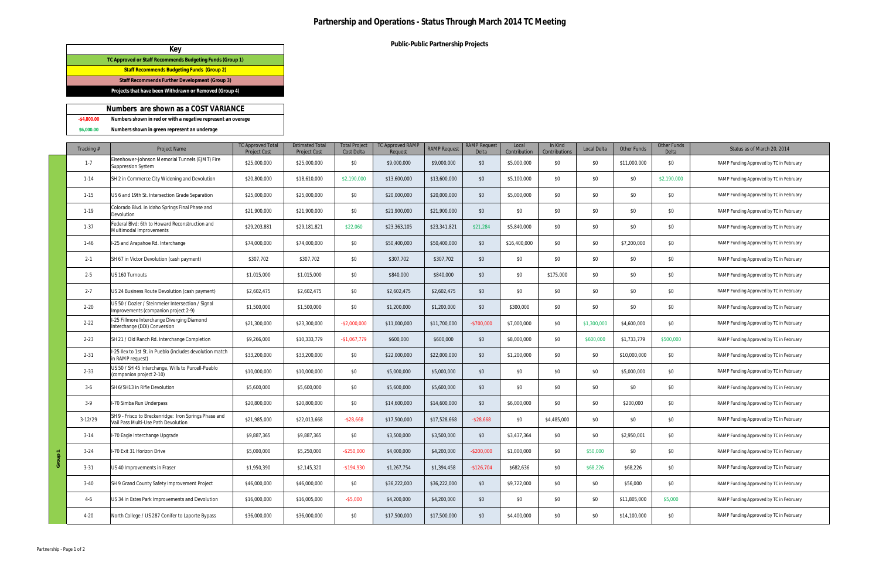**Public-Public Partnership Projects**

|                | Numbers are shown as a COST VARIANCE                         |
|----------------|--------------------------------------------------------------|
| $-$ \$4.800.00 | Numbers shown in red or with a negative represent an overage |
| \$6,000,00     | Numbers shown in green represent an underage                 |

|    | Tracking # | <b>Project Name</b>                                                                          | <b>TC Approved Total</b><br><b>Project Cost</b> | <b>Estimated Total</b><br><b>Project Cost</b> | <b>Total Project</b><br>Cost Delta | <b>TC Approved RAMF</b><br>Reauest | <b>RAMP Request</b> | <b>RAMP Request</b><br>Delta | Local<br>Contribution | In Kind<br>Contributions | <b>Local Delta</b> | <b>Other Funds</b> | Other Funds<br>Delta | Status as of March 20, 2014             |
|----|------------|----------------------------------------------------------------------------------------------|-------------------------------------------------|-----------------------------------------------|------------------------------------|------------------------------------|---------------------|------------------------------|-----------------------|--------------------------|--------------------|--------------------|----------------------|-----------------------------------------|
|    | $1 - 7$    | Eisenhower-Johnson Memorial Tunnels (EJMT) Fire<br><b>Suppression System</b>                 | \$25,000,000                                    | \$25,000,000                                  | \$0                                | \$9,000,000                        | \$9,000,000         | \$0                          | \$5,000,000           | \$0                      | \$0                | \$11,000,000       | \$0                  | RAMP Funding Approved by TC in February |
|    | $1 - 14$   | SH 2 in Commerce City Widening and Devolution                                                | \$20,800,000                                    | \$18,610,000                                  | \$2,190,000                        | \$13,600,000                       | \$13,600,000        | \$0                          | \$5,100,000           | \$0                      | \$0                | \$0                | \$2,190,000          | RAMP Funding Approved by TC in February |
|    | $1 - 15$   | US 6 and 19th St. Intersection Grade Separation                                              | \$25,000,000                                    | \$25,000,000                                  | \$0                                | \$20,000,000                       | \$20,000,000        | \$0                          | \$5,000,000           | \$0                      | \$0                | \$0                | \$0                  | RAMP Funding Approved by TC in February |
|    | $1-19$     | Colorado Blvd. in Idaho Springs Final Phase and<br>Devolution                                | \$21,900,000                                    | \$21,900,000                                  | \$0                                | \$21,900,000                       | \$21,900,000        | \$0                          | \$0                   | \$0                      | \$0                | \$0                | \$0                  | RAMP Funding Approved by TC in February |
|    | $1 - 37$   | Federal Blvd: 6th to Howard Reconstruction and<br>Multimodal Improvements                    | \$29,203,881                                    | \$29,181,821                                  | \$22,060                           | \$23,363,105                       | \$23,341,821        | \$21,284                     | \$5,840,000           | \$0                      | \$0                | \$0                | \$0                  | RAMP Funding Approved by TC in February |
|    | $1-46$     | I-25 and Arapahoe Rd. Interchange                                                            | \$74,000,000                                    | \$74,000,000                                  | \$0                                | \$50,400,000                       | \$50,400,000        | \$0                          | \$16,400,000          | \$0                      | \$0                | \$7,200,000        | \$0                  | RAMP Funding Approved by TC in February |
|    | $2 - 1$    | SH 67 in Victor Devolution (cash payment)                                                    | \$307,702                                       | \$307,702                                     | \$0                                | \$307,702                          | \$307,702           | \$0                          | \$0                   | \$0                      | \$0                | \$0                | \$0                  | RAMP Funding Approved by TC in February |
|    | $2 - 5$    | US 160 Turnouts                                                                              | \$1,015,000                                     | \$1,015,000                                   | \$0                                | \$840,000                          | \$840,000           | \$0                          | \$0                   | \$175,000                | \$0                | \$0                | \$0                  | RAMP Funding Approved by TC in February |
|    | $2 - 7$    | US 24 Business Route Devolution (cash payment)                                               | \$2,602,475                                     | \$2,602,475                                   | \$0                                | \$2,602,475                        | \$2,602,475         | \$0                          | \$0                   | \$0                      | \$0                | \$0                | \$0                  | RAMP Funding Approved by TC in February |
|    | $2 - 20$   | US 50 / Dozier / Steinmeier Intersection / Signal<br>Improvements (companion project 2-9)    | \$1,500,000                                     | \$1,500,000                                   | \$0                                | \$1,200,000                        | \$1,200,000         | \$0                          | \$300,000             | \$0                      | \$0                | \$0                | \$0                  | RAMP Funding Approved by TC in February |
|    | $2 - 22$   | I-25 Fillmore Interchange Diverging Diamond<br>Interchange (DDI) Conversion                  | \$21,300,000                                    | \$23,300,000                                  | $-$ \$2,000,000                    | \$11,000,000                       | \$11,700,000        | $-$700,000$                  | \$7,000,000           | \$0                      | \$1,300,000        | \$4,600,000        | \$0                  | RAMP Funding Approved by TC in February |
|    | $2 - 23$   | SH 21 / Old Ranch Rd. Interchange Completion                                                 | \$9,266,000                                     | \$10,333,779                                  | $-$1,067,779$                      | \$600,000                          | \$600,000           | \$0                          | \$8,000,000           | \$0                      | \$600,000          | \$1,733,779        | \$500,000            | RAMP Funding Approved by TC in February |
|    | $2 - 31$   | I-25 llex to 1st St. in Pueblo (includes devolution match<br>in RAMP request)                | \$33,200,000                                    | \$33,200,000                                  | \$0                                | \$22,000,000                       | \$22,000,000        | \$0                          | \$1,200,000           | \$0                      | \$0                | \$10,000,000       | \$0                  | RAMP Funding Approved by TC in February |
|    | $2 - 33$   | US 50 / SH 45 Interchange, Wills to Purcell-Pueblo<br>(companion project 2-10)               | \$10,000,000                                    | \$10,000,000                                  | \$0                                | \$5,000,000                        | \$5,000,000         | \$0                          | \$0                   | \$0                      | \$0                | \$5,000,000        | \$0                  | RAMP Funding Approved by TC in February |
|    | $3-6$      | SH 6/SH13 in Rifle Devolution                                                                | \$5,600,000                                     | \$5,600,000                                   | \$0                                | \$5,600,000                        | \$5,600,000         | \$0                          | \$0                   | \$0                      | \$0                | \$0                | \$0                  | RAMP Funding Approved by TC in February |
|    | $3-9$      | I-70 Simba Run Underpass                                                                     | \$20,800,000                                    | \$20,800,000                                  | \$0                                | \$14,600,000                       | \$14,600,000        | \$0                          | \$6,000,000           | \$0                      | \$0                | \$200,000          | \$0                  | RAMP Funding Approved by TC in February |
|    | $3-12/29$  | SH 9 - Frisco to Breckenridge: Iron Springs Phase and<br>Vail Pass Multi-Use Path Devolution | \$21,985,000                                    | \$22,013,668                                  | $-$ \$28,668                       | \$17,500,000                       | \$17,528,668        | $-$ \$28,668                 | \$0                   | \$4,485,000              | \$0                | \$0                | \$0                  | RAMP Funding Approved by TC in February |
|    | $3-14$     | I-70 Eagle Interchange Upgrade                                                               | \$9,887,365                                     | \$9,887,365                                   | \$0                                | \$3,500,000                        | \$3,500,000         | \$0                          | \$3,437,364           | \$0                      | \$0                | \$2,950,001        | \$0                  | RAMP Funding Approved by TC in February |
|    | $3 - 24$   | I-70 Exit 31 Horizon Drive                                                                   | \$5,000,000                                     | \$5,250,000                                   | $-$ \$250,000                      | \$4,000,000                        | \$4,200,000         | $-$ \$200,000                | \$1,000,000           | \$0                      | \$50,000           | \$0                | \$0                  | RAMP Funding Approved by TC in February |
| යි | $3 - 31$   | US 40 Improvements in Fraser                                                                 | \$1,950,390                                     | \$2,145,320                                   | $-$194,930$                        | \$1,267,754                        | \$1,394,458         | $-$126,704$                  | \$682,636             | \$0                      | \$68,226           | \$68,226           | \$0                  | RAMP Funding Approved by TC in February |
|    | $3 - 40$   | SH 9 Grand County Safety Improvement Project                                                 | \$46,000,000                                    | \$46,000,000                                  | \$0                                | \$36,222,000                       | \$36,222,000        | \$0                          | \$9,722,000           | \$0                      | \$0                | \$56,000           | \$0                  | RAMP Funding Approved by TC in February |
|    | $4-6$      | US 34 in Estes Park Improvements and Devolution                                              | \$16,000,000                                    | \$16,005,000                                  | $-$ \$5,000                        | \$4,200,000                        | \$4,200,000         | \$0                          | \$0                   | \$0                      | \$0                | \$11,805,000       | \$5,000              | RAMP Funding Approved by TC in February |
|    | $4 - 20$   | North College / US 287 Conifer to Laporte Bypass                                             | \$36,000,000                                    | \$36,000,000                                  | \$0                                | \$17,500,000                       | \$17,500,000        | \$0                          | \$4,400,000           | \$0                      | \$0                | \$14,100,000       | \$0                  | RAMP Funding Approved by TC in February |

| Key                                                       |  |
|-----------------------------------------------------------|--|
| TC Approved or Staff Recommends Budgeting Funds (Group 1) |  |
| <b>Staff Recommends Budgeting Funds (Group 2)</b>         |  |
| Staff Recommends Further Development (Group 3)            |  |
| Projects that have been Withdrawn or Removed (Group 4)    |  |
|                                                           |  |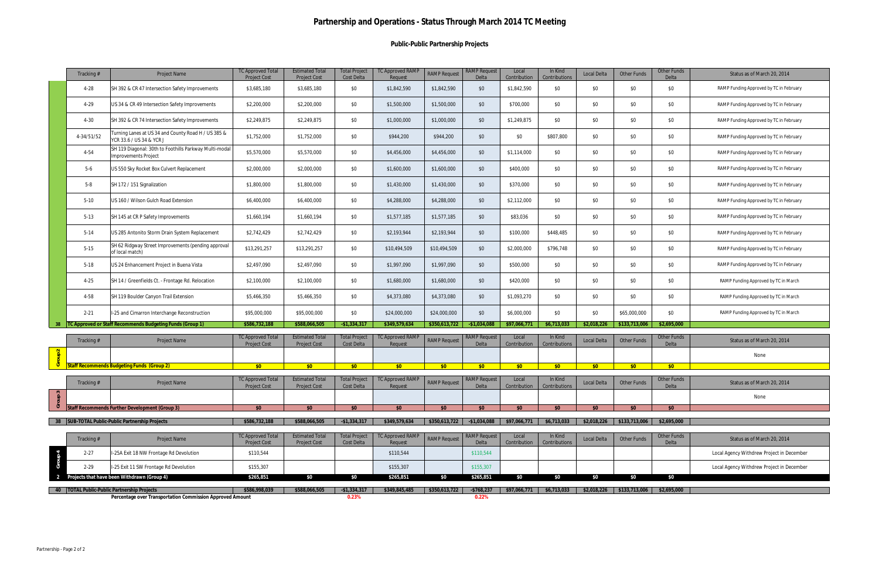### **Public-Public Partnership Projects**

| \$0<br>SH 392 & CR 47 Intersection Safety Improvements<br>\$0<br>\$1,842,590<br>\$0<br>\$1,842,590<br>\$0<br>\$0<br>\$0<br>$4-28$<br>\$3,685,180<br>\$3,685,180<br>\$1,842,590<br>RAMP Funding Approved by TC in February<br>\$0<br>\$0<br>\$0<br>\$0<br>\$0<br>\$0<br>$4-29$<br>US 34 & CR 49 Intersection Safety Improvements<br>\$2,200,000<br>\$2,200,000<br>\$1,500,000<br>\$1,500,000<br>\$700,000<br>RAMP Funding Approved by TC in February<br>\$0<br>\$0<br>\$2,249,875<br>\$2,249,875<br>\$0<br>\$0<br>\$1,249,875<br>\$0<br>\$0<br>$4 - 30$<br>SH 392 & CR 74 Intersection Safety Improvements<br>\$1,000,000<br>\$1,000,000<br>RAMP Funding Approved by TC in February<br>Turning Lanes at US 34 and County Road H / US 385 &<br>\$0<br>4-34/51/52<br>\$1,752,000<br>\$1,752,000<br>\$0<br>\$944,200<br>\$944,200<br>\$0<br>\$0<br>\$807,800<br>\$0<br>\$0<br>RAMP Funding Approved by TC in February<br>YCR 33.6 / US 34 & YCR J<br>SH 119 Diagonal: 30th to Foothills Parkway Multi-modal<br>\$5,570,000<br>\$0<br>\$4,456,000<br>\$0<br>\$1,114,000<br>\$0<br>\$0<br>\$0<br>\$0<br>4-54<br>\$5,570,000<br>\$4,456,000<br>RAMP Funding Approved by TC in February<br><b>Improvements Project</b><br>$5-6$<br>\$0<br>\$0<br>\$0<br>\$0<br>\$0<br>\$0<br>US 550 Sky Rocket Box Culvert Replacement<br>\$2,000,000<br>\$2,000,000<br>\$1,600,000<br>\$1,600,000<br>\$400,000<br>RAMP Funding Approved by TC in February<br>\$0<br>$5 - 8$<br>\$1,800,000<br>\$1,800,000<br>\$0<br>\$1,430,000<br>\$0<br>\$370,000<br>\$0<br>\$0<br>\$0<br>SH 172 / 151 Signalization<br>\$1,430,000<br>RAMP Funding Approved by TC in February<br>\$0<br>\$0<br>\$0<br>\$0<br>\$0<br>\$0<br>$5-10$<br>US 160 / Wilson Gulch Road Extension<br>\$6,400,000<br>\$6,400,000<br>\$4,288,000<br>\$4,288,000<br>\$2,112,000<br>RAMP Funding Approved by TC in February<br>\$0<br>\$0<br>\$1,577,185<br>\$0<br>\$0<br>\$0<br>\$0<br>$5-13$<br>SH 145 at CR P Safety Improvements<br>\$1,660,194<br>\$1,660,194<br>\$1,577,185<br>\$83,036<br>RAMP Funding Approved by TC in February<br>\$0<br>\$2,742,429<br>\$0<br>\$0<br>\$448,485<br>\$0<br>\$0<br>$5-14$<br>US 285 Antonito Storm Drain System Replacement<br>\$2,742,429<br>\$2,193,944<br>\$2,193,944<br>\$100,000<br>RAMP Funding Approved by TC in February<br>SH 62 Ridgway Street Improvements (pending approval<br>\$0<br>\$0<br>$5 - 15$<br>\$13,291,257<br>\$0<br>\$10,494,509<br>\$0<br>\$796,748<br>\$0<br>\$13,291,257<br>\$10,494,509<br>\$2,000,000<br>RAMP Funding Approved by TC in February<br>of local match)<br>$5 - 18$<br>US 24 Enhancement Project in Buena Vista<br>\$2,497,090<br>\$2,497,090<br>\$0<br>\$1,997,090<br>\$1,997,090<br>\$0<br>\$500,000<br>\$0<br>\$0<br>\$0<br>\$0<br>RAMP Funding Approved by TC in February<br>\$2,100,000<br>\$0<br>\$1,680,000<br>\$1,680,000<br>\$0<br>\$420,000<br>\$0<br>\$0<br>\$0<br>\$0<br>$4 - 25$<br>SH 14 / Greenfields Ct. - Frontage Rd. Relocation<br>\$2,100,000<br>RAMP Funding Approved by TC in March<br>\$0<br>\$0<br>4-58<br>SH 119 Boulder Canyon Trail Extension<br>\$5,466,350<br>\$5,466,350<br>\$0<br>\$4,373,080<br>\$4,373,080<br>\$0<br>\$1,093,270<br>\$0<br>\$0<br>RAMP Funding Approved by TC in March<br>\$0<br>I-25 and Cimarron Interchange Reconstruction<br>\$0<br>\$24,000,000<br>\$0<br>\$0<br>\$65,000,000<br>\$0<br>$2 - 21$<br>\$95,000,000<br>\$95,000,000<br>\$24,000,000<br>\$6,000,000<br>RAMP Funding Approved by TC in March<br>C Approved or Staff Recommends Budgeting Funds (Group 1)<br>\$586,732,188<br>\$588,066,505<br>$-$1,334,317$<br>\$349,579,634<br>\$97,066,771<br>\$6,713,033<br>\$133,713,006<br>\$2,695,000<br>-38<br>\$350,613,722<br>$-$1,034,08$<br>\$2,018,226<br><b>TC Approved Total</b><br><b>Estimated Total</b><br><b>Total Project</b><br><b>TC Approved RAMP</b><br><b>RAMP Request</b><br>Local<br>In Kind<br>Other Funds<br><b>RAMP Request</b><br>Local Delta<br><b>Other Funds</b><br>Status as of March 20, 2014<br>Tracking#<br><b>Project Name</b><br>Project Cost<br>Contributions<br>Project Cost<br>Cost Delta<br>Request<br>Delta<br>Contribution<br>Delta<br>$\frac{2}{\pi}$<br>None<br>್<br><b>Staff Recommends Budgeting Funds (Group 2)</b><br>\$0<br>\$0<br>\$0<br>\$0<br>\$0<br>\$0<br>\$0<br>\$0<br>\$0<br>\$0<br>\$0<br><b>TC Approved Total</b><br><b>Estimated Total</b><br><b>Total Project</b><br><b>TC Approved RAMP</b><br><b>RAMP</b> Request<br>Local<br>In Kind<br>Other Funds<br>Other Funds<br><b>RAMP Request</b><br>Local Delta<br>Status as of March 20, 2014<br>Tracking#<br>Project Name<br><b>Project Cost</b><br>Cost Delta<br>Contribution<br>Contributions<br><b>Project Cost</b><br><b>Request</b><br><b>Delta</b><br>Group 3<br>None<br>Staff Recommends Further Development (Group 3)<br>\$0<br>\$0<br>\$0<br>\$0<br>\$0<br>\$0<br>\$0<br>\$0<br>\$0<br>\$0<br>\$0<br>38 SUB-TOTAL Public-Public Partnership Projects<br>\$586,732,188<br>\$350,613,722<br>$-$1,034,088$<br>\$6,713,033<br>\$2,695,000<br>\$588,066,505<br>$-$1,334,317$<br>\$349,579,634<br>\$97,066,771<br>\$2,018,226<br>\$133,713,006<br><b>Estimated Total</b><br><b>Total Project</b><br><b>TC Approved RAMP</b><br><b>RAMP Request</b><br><b>TC Approved Total</b><br>Local<br>In Kind<br>Other Funds<br><b>RAMP Request</b><br>Project Name<br>Local Delta<br>Other Funds<br>Status as of March 20, 2014<br>Tracking #<br><b>Project Cost</b><br><b>Project Cost</b><br>Cost Delta<br>Contribution<br>Contributions<br>Request<br>Delta<br>Delta<br>Group 4<br>I-25A Exit 18 NW Frontage Rd Devolution<br>\$110,544<br>\$110,544<br>\$110,544<br>Local Agency Withdrew Project in December<br>$2 - 27$<br>I-25 Exit 11 SW Frontage Rd Devolution<br>$2 - 29$<br>\$155,307<br>\$155,307<br>\$155,307<br>Local Agency Withdrew Project in December<br>\$0<br>Projects that have been Withdrawn (Group 4)<br>\$265,851<br>\$0<br>\$265,851<br>\$0<br>\$0<br>\$0<br>\$265,851<br>\$0<br>\$0<br>\$0<br>2<br>40   TOTAL Public-Public Partnership Projects<br>\$586,998,039<br>$-$1,334,317$<br>\$349,845,485<br>$-$768,237$<br>\$2,695,000<br>\$588,066,505<br>\$350,613,722<br>\$97,066,771<br>\$6,713,033<br>\$2,018,226<br>\$133,713,006 | Tracking # | Project Name                                              | <b>TC Approved Total</b><br><b>Project Cost</b> | <b>Estimated Total</b><br><b>Project Cost</b> | <b>Total Project</b><br>Cost Delta | <b>TC Approved RAMF</b><br>Request | <b>RAMP Request</b> | <b>RAMP</b> Request<br>Delta | Local<br>Contribution | In Kind<br>Contributions | Local Delta | Other Funds | Other Funds<br>Delta | Status as of March 20, 2014 |
|---------------------------------------------------------------------------------------------------------------------------------------------------------------------------------------------------------------------------------------------------------------------------------------------------------------------------------------------------------------------------------------------------------------------------------------------------------------------------------------------------------------------------------------------------------------------------------------------------------------------------------------------------------------------------------------------------------------------------------------------------------------------------------------------------------------------------------------------------------------------------------------------------------------------------------------------------------------------------------------------------------------------------------------------------------------------------------------------------------------------------------------------------------------------------------------------------------------------------------------------------------------------------------------------------------------------------------------------------------------------------------------------------------------------------------------------------------------------------------------------------------------------------------------------------------------------------------------------------------------------------------------------------------------------------------------------------------------------------------------------------------------------------------------------------------------------------------------------------------------------------------------------------------------------------------------------------------------------------------------------------------------------------------------------------------------------------------------------------------------------------------------------------------------------------------------------------------------------------------------------------------------------------------------------------------------------------------------------------------------------------------------------------------------------------------------------------------------------------------------------------------------------------------------------------------------------------------------------------------------------------------------------------------------------------------------------------------------------------------------------------------------------------------------------------------------------------------------------------------------------------------------------------------------------------------------------------------------------------------------------------------------------------------------------------------------------------------------------------------------------------------------------------------------------------------------------------------------------------------------------------------------------------------------------------------------------------------------------------------------------------------------------------------------------------------------------------------------------------------------------------------------------------------------------------------------------------------------------------------------------------------------------------------------------------------------------------------------------------------------------------------------------------------------------------------------------------------------------------------------------------------------------------------------------------------------------------------------------------------------------------------------------------------------------------------------------------------------------------------------------------------------------------------------------------------------------------------------------------------------------------------------------------------------------------------------------------------------------------------------------------------------------------------------------------------------------------------------------------------------------------------------------------------------------------------------------------------------------------------------------------------------------------------------------------------------------------------------------------------------------------------------------------------------------------------------------------------------------------------------------------------------------------------------------------------------------------------------------------------------------------------------------------------------------------------------------------------------------------------------------------------------------------------------------------------------------------------------------------------------------------------------------------------------------------------------------------------------------------------------------------------------------------------------------------------------------------------------------------------------------------------------------------------------------------------------------------------------------------------------------------------------------------------------------------------------------------------------------------------------------------------------------------------------------------------------------------------------------------------------------------------------------------------------------------------------------------------------------------------------------------------------------------------------------------------------------------------------------------------------------------------------------------------------------------------------------------------------------------------------|------------|-----------------------------------------------------------|-------------------------------------------------|-----------------------------------------------|------------------------------------|------------------------------------|---------------------|------------------------------|-----------------------|--------------------------|-------------|-------------|----------------------|-----------------------------|
|                                                                                                                                                                                                                                                                                                                                                                                                                                                                                                                                                                                                                                                                                                                                                                                                                                                                                                                                                                                                                                                                                                                                                                                                                                                                                                                                                                                                                                                                                                                                                                                                                                                                                                                                                                                                                                                                                                                                                                                                                                                                                                                                                                                                                                                                                                                                                                                                                                                                                                                                                                                                                                                                                                                                                                                                                                                                                                                                                                                                                                                                                                                                                                                                                                                                                                                                                                                                                                                                                                                                                                                                                                                                                                                                                                                                                                                                                                                                                                                                                                                                                                                                                                                                                                                                                                                                                                                                                                                                                                                                                                                                                                                                                                                                                                                                                                                                                                                                                                                                                                                                                                                                                                                                                                                                                                                                                                                                                                                                                                                                                                                                                                                                                                                                                                                                                                                                                                                                                                                                                                                                                                                                                                                                                                       |            |                                                           |                                                 |                                               |                                    |                                    |                     |                              |                       |                          |             |             |                      |                             |
|                                                                                                                                                                                                                                                                                                                                                                                                                                                                                                                                                                                                                                                                                                                                                                                                                                                                                                                                                                                                                                                                                                                                                                                                                                                                                                                                                                                                                                                                                                                                                                                                                                                                                                                                                                                                                                                                                                                                                                                                                                                                                                                                                                                                                                                                                                                                                                                                                                                                                                                                                                                                                                                                                                                                                                                                                                                                                                                                                                                                                                                                                                                                                                                                                                                                                                                                                                                                                                                                                                                                                                                                                                                                                                                                                                                                                                                                                                                                                                                                                                                                                                                                                                                                                                                                                                                                                                                                                                                                                                                                                                                                                                                                                                                                                                                                                                                                                                                                                                                                                                                                                                                                                                                                                                                                                                                                                                                                                                                                                                                                                                                                                                                                                                                                                                                                                                                                                                                                                                                                                                                                                                                                                                                                                                       |            |                                                           |                                                 |                                               |                                    |                                    |                     |                              |                       |                          |             |             |                      |                             |
|                                                                                                                                                                                                                                                                                                                                                                                                                                                                                                                                                                                                                                                                                                                                                                                                                                                                                                                                                                                                                                                                                                                                                                                                                                                                                                                                                                                                                                                                                                                                                                                                                                                                                                                                                                                                                                                                                                                                                                                                                                                                                                                                                                                                                                                                                                                                                                                                                                                                                                                                                                                                                                                                                                                                                                                                                                                                                                                                                                                                                                                                                                                                                                                                                                                                                                                                                                                                                                                                                                                                                                                                                                                                                                                                                                                                                                                                                                                                                                                                                                                                                                                                                                                                                                                                                                                                                                                                                                                                                                                                                                                                                                                                                                                                                                                                                                                                                                                                                                                                                                                                                                                                                                                                                                                                                                                                                                                                                                                                                                                                                                                                                                                                                                                                                                                                                                                                                                                                                                                                                                                                                                                                                                                                                                       |            |                                                           |                                                 |                                               |                                    |                                    |                     |                              |                       |                          |             |             |                      |                             |
|                                                                                                                                                                                                                                                                                                                                                                                                                                                                                                                                                                                                                                                                                                                                                                                                                                                                                                                                                                                                                                                                                                                                                                                                                                                                                                                                                                                                                                                                                                                                                                                                                                                                                                                                                                                                                                                                                                                                                                                                                                                                                                                                                                                                                                                                                                                                                                                                                                                                                                                                                                                                                                                                                                                                                                                                                                                                                                                                                                                                                                                                                                                                                                                                                                                                                                                                                                                                                                                                                                                                                                                                                                                                                                                                                                                                                                                                                                                                                                                                                                                                                                                                                                                                                                                                                                                                                                                                                                                                                                                                                                                                                                                                                                                                                                                                                                                                                                                                                                                                                                                                                                                                                                                                                                                                                                                                                                                                                                                                                                                                                                                                                                                                                                                                                                                                                                                                                                                                                                                                                                                                                                                                                                                                                                       |            |                                                           |                                                 |                                               |                                    |                                    |                     |                              |                       |                          |             |             |                      |                             |
|                                                                                                                                                                                                                                                                                                                                                                                                                                                                                                                                                                                                                                                                                                                                                                                                                                                                                                                                                                                                                                                                                                                                                                                                                                                                                                                                                                                                                                                                                                                                                                                                                                                                                                                                                                                                                                                                                                                                                                                                                                                                                                                                                                                                                                                                                                                                                                                                                                                                                                                                                                                                                                                                                                                                                                                                                                                                                                                                                                                                                                                                                                                                                                                                                                                                                                                                                                                                                                                                                                                                                                                                                                                                                                                                                                                                                                                                                                                                                                                                                                                                                                                                                                                                                                                                                                                                                                                                                                                                                                                                                                                                                                                                                                                                                                                                                                                                                                                                                                                                                                                                                                                                                                                                                                                                                                                                                                                                                                                                                                                                                                                                                                                                                                                                                                                                                                                                                                                                                                                                                                                                                                                                                                                                                                       |            |                                                           |                                                 |                                               |                                    |                                    |                     |                              |                       |                          |             |             |                      |                             |
|                                                                                                                                                                                                                                                                                                                                                                                                                                                                                                                                                                                                                                                                                                                                                                                                                                                                                                                                                                                                                                                                                                                                                                                                                                                                                                                                                                                                                                                                                                                                                                                                                                                                                                                                                                                                                                                                                                                                                                                                                                                                                                                                                                                                                                                                                                                                                                                                                                                                                                                                                                                                                                                                                                                                                                                                                                                                                                                                                                                                                                                                                                                                                                                                                                                                                                                                                                                                                                                                                                                                                                                                                                                                                                                                                                                                                                                                                                                                                                                                                                                                                                                                                                                                                                                                                                                                                                                                                                                                                                                                                                                                                                                                                                                                                                                                                                                                                                                                                                                                                                                                                                                                                                                                                                                                                                                                                                                                                                                                                                                                                                                                                                                                                                                                                                                                                                                                                                                                                                                                                                                                                                                                                                                                                                       |            |                                                           |                                                 |                                               |                                    |                                    |                     |                              |                       |                          |             |             |                      |                             |
|                                                                                                                                                                                                                                                                                                                                                                                                                                                                                                                                                                                                                                                                                                                                                                                                                                                                                                                                                                                                                                                                                                                                                                                                                                                                                                                                                                                                                                                                                                                                                                                                                                                                                                                                                                                                                                                                                                                                                                                                                                                                                                                                                                                                                                                                                                                                                                                                                                                                                                                                                                                                                                                                                                                                                                                                                                                                                                                                                                                                                                                                                                                                                                                                                                                                                                                                                                                                                                                                                                                                                                                                                                                                                                                                                                                                                                                                                                                                                                                                                                                                                                                                                                                                                                                                                                                                                                                                                                                                                                                                                                                                                                                                                                                                                                                                                                                                                                                                                                                                                                                                                                                                                                                                                                                                                                                                                                                                                                                                                                                                                                                                                                                                                                                                                                                                                                                                                                                                                                                                                                                                                                                                                                                                                                       |            |                                                           |                                                 |                                               |                                    |                                    |                     |                              |                       |                          |             |             |                      |                             |
|                                                                                                                                                                                                                                                                                                                                                                                                                                                                                                                                                                                                                                                                                                                                                                                                                                                                                                                                                                                                                                                                                                                                                                                                                                                                                                                                                                                                                                                                                                                                                                                                                                                                                                                                                                                                                                                                                                                                                                                                                                                                                                                                                                                                                                                                                                                                                                                                                                                                                                                                                                                                                                                                                                                                                                                                                                                                                                                                                                                                                                                                                                                                                                                                                                                                                                                                                                                                                                                                                                                                                                                                                                                                                                                                                                                                                                                                                                                                                                                                                                                                                                                                                                                                                                                                                                                                                                                                                                                                                                                                                                                                                                                                                                                                                                                                                                                                                                                                                                                                                                                                                                                                                                                                                                                                                                                                                                                                                                                                                                                                                                                                                                                                                                                                                                                                                                                                                                                                                                                                                                                                                                                                                                                                                                       |            |                                                           |                                                 |                                               |                                    |                                    |                     |                              |                       |                          |             |             |                      |                             |
|                                                                                                                                                                                                                                                                                                                                                                                                                                                                                                                                                                                                                                                                                                                                                                                                                                                                                                                                                                                                                                                                                                                                                                                                                                                                                                                                                                                                                                                                                                                                                                                                                                                                                                                                                                                                                                                                                                                                                                                                                                                                                                                                                                                                                                                                                                                                                                                                                                                                                                                                                                                                                                                                                                                                                                                                                                                                                                                                                                                                                                                                                                                                                                                                                                                                                                                                                                                                                                                                                                                                                                                                                                                                                                                                                                                                                                                                                                                                                                                                                                                                                                                                                                                                                                                                                                                                                                                                                                                                                                                                                                                                                                                                                                                                                                                                                                                                                                                                                                                                                                                                                                                                                                                                                                                                                                                                                                                                                                                                                                                                                                                                                                                                                                                                                                                                                                                                                                                                                                                                                                                                                                                                                                                                                                       |            |                                                           |                                                 |                                               |                                    |                                    |                     |                              |                       |                          |             |             |                      |                             |
|                                                                                                                                                                                                                                                                                                                                                                                                                                                                                                                                                                                                                                                                                                                                                                                                                                                                                                                                                                                                                                                                                                                                                                                                                                                                                                                                                                                                                                                                                                                                                                                                                                                                                                                                                                                                                                                                                                                                                                                                                                                                                                                                                                                                                                                                                                                                                                                                                                                                                                                                                                                                                                                                                                                                                                                                                                                                                                                                                                                                                                                                                                                                                                                                                                                                                                                                                                                                                                                                                                                                                                                                                                                                                                                                                                                                                                                                                                                                                                                                                                                                                                                                                                                                                                                                                                                                                                                                                                                                                                                                                                                                                                                                                                                                                                                                                                                                                                                                                                                                                                                                                                                                                                                                                                                                                                                                                                                                                                                                                                                                                                                                                                                                                                                                                                                                                                                                                                                                                                                                                                                                                                                                                                                                                                       |            |                                                           |                                                 |                                               |                                    |                                    |                     |                              |                       |                          |             |             |                      |                             |
|                                                                                                                                                                                                                                                                                                                                                                                                                                                                                                                                                                                                                                                                                                                                                                                                                                                                                                                                                                                                                                                                                                                                                                                                                                                                                                                                                                                                                                                                                                                                                                                                                                                                                                                                                                                                                                                                                                                                                                                                                                                                                                                                                                                                                                                                                                                                                                                                                                                                                                                                                                                                                                                                                                                                                                                                                                                                                                                                                                                                                                                                                                                                                                                                                                                                                                                                                                                                                                                                                                                                                                                                                                                                                                                                                                                                                                                                                                                                                                                                                                                                                                                                                                                                                                                                                                                                                                                                                                                                                                                                                                                                                                                                                                                                                                                                                                                                                                                                                                                                                                                                                                                                                                                                                                                                                                                                                                                                                                                                                                                                                                                                                                                                                                                                                                                                                                                                                                                                                                                                                                                                                                                                                                                                                                       |            |                                                           |                                                 |                                               |                                    |                                    |                     |                              |                       |                          |             |             |                      |                             |
|                                                                                                                                                                                                                                                                                                                                                                                                                                                                                                                                                                                                                                                                                                                                                                                                                                                                                                                                                                                                                                                                                                                                                                                                                                                                                                                                                                                                                                                                                                                                                                                                                                                                                                                                                                                                                                                                                                                                                                                                                                                                                                                                                                                                                                                                                                                                                                                                                                                                                                                                                                                                                                                                                                                                                                                                                                                                                                                                                                                                                                                                                                                                                                                                                                                                                                                                                                                                                                                                                                                                                                                                                                                                                                                                                                                                                                                                                                                                                                                                                                                                                                                                                                                                                                                                                                                                                                                                                                                                                                                                                                                                                                                                                                                                                                                                                                                                                                                                                                                                                                                                                                                                                                                                                                                                                                                                                                                                                                                                                                                                                                                                                                                                                                                                                                                                                                                                                                                                                                                                                                                                                                                                                                                                                                       |            |                                                           |                                                 |                                               |                                    |                                    |                     |                              |                       |                          |             |             |                      |                             |
|                                                                                                                                                                                                                                                                                                                                                                                                                                                                                                                                                                                                                                                                                                                                                                                                                                                                                                                                                                                                                                                                                                                                                                                                                                                                                                                                                                                                                                                                                                                                                                                                                                                                                                                                                                                                                                                                                                                                                                                                                                                                                                                                                                                                                                                                                                                                                                                                                                                                                                                                                                                                                                                                                                                                                                                                                                                                                                                                                                                                                                                                                                                                                                                                                                                                                                                                                                                                                                                                                                                                                                                                                                                                                                                                                                                                                                                                                                                                                                                                                                                                                                                                                                                                                                                                                                                                                                                                                                                                                                                                                                                                                                                                                                                                                                                                                                                                                                                                                                                                                                                                                                                                                                                                                                                                                                                                                                                                                                                                                                                                                                                                                                                                                                                                                                                                                                                                                                                                                                                                                                                                                                                                                                                                                                       |            |                                                           |                                                 |                                               |                                    |                                    |                     |                              |                       |                          |             |             |                      |                             |
|                                                                                                                                                                                                                                                                                                                                                                                                                                                                                                                                                                                                                                                                                                                                                                                                                                                                                                                                                                                                                                                                                                                                                                                                                                                                                                                                                                                                                                                                                                                                                                                                                                                                                                                                                                                                                                                                                                                                                                                                                                                                                                                                                                                                                                                                                                                                                                                                                                                                                                                                                                                                                                                                                                                                                                                                                                                                                                                                                                                                                                                                                                                                                                                                                                                                                                                                                                                                                                                                                                                                                                                                                                                                                                                                                                                                                                                                                                                                                                                                                                                                                                                                                                                                                                                                                                                                                                                                                                                                                                                                                                                                                                                                                                                                                                                                                                                                                                                                                                                                                                                                                                                                                                                                                                                                                                                                                                                                                                                                                                                                                                                                                                                                                                                                                                                                                                                                                                                                                                                                                                                                                                                                                                                                                                       |            |                                                           |                                                 |                                               |                                    |                                    |                     |                              |                       |                          |             |             |                      |                             |
|                                                                                                                                                                                                                                                                                                                                                                                                                                                                                                                                                                                                                                                                                                                                                                                                                                                                                                                                                                                                                                                                                                                                                                                                                                                                                                                                                                                                                                                                                                                                                                                                                                                                                                                                                                                                                                                                                                                                                                                                                                                                                                                                                                                                                                                                                                                                                                                                                                                                                                                                                                                                                                                                                                                                                                                                                                                                                                                                                                                                                                                                                                                                                                                                                                                                                                                                                                                                                                                                                                                                                                                                                                                                                                                                                                                                                                                                                                                                                                                                                                                                                                                                                                                                                                                                                                                                                                                                                                                                                                                                                                                                                                                                                                                                                                                                                                                                                                                                                                                                                                                                                                                                                                                                                                                                                                                                                                                                                                                                                                                                                                                                                                                                                                                                                                                                                                                                                                                                                                                                                                                                                                                                                                                                                                       |            |                                                           |                                                 |                                               |                                    |                                    |                     |                              |                       |                          |             |             |                      |                             |
|                                                                                                                                                                                                                                                                                                                                                                                                                                                                                                                                                                                                                                                                                                                                                                                                                                                                                                                                                                                                                                                                                                                                                                                                                                                                                                                                                                                                                                                                                                                                                                                                                                                                                                                                                                                                                                                                                                                                                                                                                                                                                                                                                                                                                                                                                                                                                                                                                                                                                                                                                                                                                                                                                                                                                                                                                                                                                                                                                                                                                                                                                                                                                                                                                                                                                                                                                                                                                                                                                                                                                                                                                                                                                                                                                                                                                                                                                                                                                                                                                                                                                                                                                                                                                                                                                                                                                                                                                                                                                                                                                                                                                                                                                                                                                                                                                                                                                                                                                                                                                                                                                                                                                                                                                                                                                                                                                                                                                                                                                                                                                                                                                                                                                                                                                                                                                                                                                                                                                                                                                                                                                                                                                                                                                                       |            |                                                           |                                                 |                                               |                                    |                                    |                     |                              |                       |                          |             |             |                      |                             |
|                                                                                                                                                                                                                                                                                                                                                                                                                                                                                                                                                                                                                                                                                                                                                                                                                                                                                                                                                                                                                                                                                                                                                                                                                                                                                                                                                                                                                                                                                                                                                                                                                                                                                                                                                                                                                                                                                                                                                                                                                                                                                                                                                                                                                                                                                                                                                                                                                                                                                                                                                                                                                                                                                                                                                                                                                                                                                                                                                                                                                                                                                                                                                                                                                                                                                                                                                                                                                                                                                                                                                                                                                                                                                                                                                                                                                                                                                                                                                                                                                                                                                                                                                                                                                                                                                                                                                                                                                                                                                                                                                                                                                                                                                                                                                                                                                                                                                                                                                                                                                                                                                                                                                                                                                                                                                                                                                                                                                                                                                                                                                                                                                                                                                                                                                                                                                                                                                                                                                                                                                                                                                                                                                                                                                                       |            |                                                           |                                                 |                                               |                                    |                                    |                     |                              |                       |                          |             |             |                      |                             |
|                                                                                                                                                                                                                                                                                                                                                                                                                                                                                                                                                                                                                                                                                                                                                                                                                                                                                                                                                                                                                                                                                                                                                                                                                                                                                                                                                                                                                                                                                                                                                                                                                                                                                                                                                                                                                                                                                                                                                                                                                                                                                                                                                                                                                                                                                                                                                                                                                                                                                                                                                                                                                                                                                                                                                                                                                                                                                                                                                                                                                                                                                                                                                                                                                                                                                                                                                                                                                                                                                                                                                                                                                                                                                                                                                                                                                                                                                                                                                                                                                                                                                                                                                                                                                                                                                                                                                                                                                                                                                                                                                                                                                                                                                                                                                                                                                                                                                                                                                                                                                                                                                                                                                                                                                                                                                                                                                                                                                                                                                                                                                                                                                                                                                                                                                                                                                                                                                                                                                                                                                                                                                                                                                                                                                                       |            |                                                           |                                                 |                                               |                                    |                                    |                     |                              |                       |                          |             |             |                      |                             |
|                                                                                                                                                                                                                                                                                                                                                                                                                                                                                                                                                                                                                                                                                                                                                                                                                                                                                                                                                                                                                                                                                                                                                                                                                                                                                                                                                                                                                                                                                                                                                                                                                                                                                                                                                                                                                                                                                                                                                                                                                                                                                                                                                                                                                                                                                                                                                                                                                                                                                                                                                                                                                                                                                                                                                                                                                                                                                                                                                                                                                                                                                                                                                                                                                                                                                                                                                                                                                                                                                                                                                                                                                                                                                                                                                                                                                                                                                                                                                                                                                                                                                                                                                                                                                                                                                                                                                                                                                                                                                                                                                                                                                                                                                                                                                                                                                                                                                                                                                                                                                                                                                                                                                                                                                                                                                                                                                                                                                                                                                                                                                                                                                                                                                                                                                                                                                                                                                                                                                                                                                                                                                                                                                                                                                                       |            |                                                           |                                                 |                                               |                                    |                                    |                     |                              |                       |                          |             |             |                      |                             |
|                                                                                                                                                                                                                                                                                                                                                                                                                                                                                                                                                                                                                                                                                                                                                                                                                                                                                                                                                                                                                                                                                                                                                                                                                                                                                                                                                                                                                                                                                                                                                                                                                                                                                                                                                                                                                                                                                                                                                                                                                                                                                                                                                                                                                                                                                                                                                                                                                                                                                                                                                                                                                                                                                                                                                                                                                                                                                                                                                                                                                                                                                                                                                                                                                                                                                                                                                                                                                                                                                                                                                                                                                                                                                                                                                                                                                                                                                                                                                                                                                                                                                                                                                                                                                                                                                                                                                                                                                                                                                                                                                                                                                                                                                                                                                                                                                                                                                                                                                                                                                                                                                                                                                                                                                                                                                                                                                                                                                                                                                                                                                                                                                                                                                                                                                                                                                                                                                                                                                                                                                                                                                                                                                                                                                                       |            |                                                           |                                                 |                                               |                                    |                                    |                     |                              |                       |                          |             |             |                      |                             |
|                                                                                                                                                                                                                                                                                                                                                                                                                                                                                                                                                                                                                                                                                                                                                                                                                                                                                                                                                                                                                                                                                                                                                                                                                                                                                                                                                                                                                                                                                                                                                                                                                                                                                                                                                                                                                                                                                                                                                                                                                                                                                                                                                                                                                                                                                                                                                                                                                                                                                                                                                                                                                                                                                                                                                                                                                                                                                                                                                                                                                                                                                                                                                                                                                                                                                                                                                                                                                                                                                                                                                                                                                                                                                                                                                                                                                                                                                                                                                                                                                                                                                                                                                                                                                                                                                                                                                                                                                                                                                                                                                                                                                                                                                                                                                                                                                                                                                                                                                                                                                                                                                                                                                                                                                                                                                                                                                                                                                                                                                                                                                                                                                                                                                                                                                                                                                                                                                                                                                                                                                                                                                                                                                                                                                                       |            |                                                           |                                                 |                                               |                                    |                                    |                     |                              |                       |                          |             |             |                      |                             |
|                                                                                                                                                                                                                                                                                                                                                                                                                                                                                                                                                                                                                                                                                                                                                                                                                                                                                                                                                                                                                                                                                                                                                                                                                                                                                                                                                                                                                                                                                                                                                                                                                                                                                                                                                                                                                                                                                                                                                                                                                                                                                                                                                                                                                                                                                                                                                                                                                                                                                                                                                                                                                                                                                                                                                                                                                                                                                                                                                                                                                                                                                                                                                                                                                                                                                                                                                                                                                                                                                                                                                                                                                                                                                                                                                                                                                                                                                                                                                                                                                                                                                                                                                                                                                                                                                                                                                                                                                                                                                                                                                                                                                                                                                                                                                                                                                                                                                                                                                                                                                                                                                                                                                                                                                                                                                                                                                                                                                                                                                                                                                                                                                                                                                                                                                                                                                                                                                                                                                                                                                                                                                                                                                                                                                                       |            |                                                           |                                                 |                                               |                                    |                                    |                     |                              |                       |                          |             |             |                      |                             |
|                                                                                                                                                                                                                                                                                                                                                                                                                                                                                                                                                                                                                                                                                                                                                                                                                                                                                                                                                                                                                                                                                                                                                                                                                                                                                                                                                                                                                                                                                                                                                                                                                                                                                                                                                                                                                                                                                                                                                                                                                                                                                                                                                                                                                                                                                                                                                                                                                                                                                                                                                                                                                                                                                                                                                                                                                                                                                                                                                                                                                                                                                                                                                                                                                                                                                                                                                                                                                                                                                                                                                                                                                                                                                                                                                                                                                                                                                                                                                                                                                                                                                                                                                                                                                                                                                                                                                                                                                                                                                                                                                                                                                                                                                                                                                                                                                                                                                                                                                                                                                                                                                                                                                                                                                                                                                                                                                                                                                                                                                                                                                                                                                                                                                                                                                                                                                                                                                                                                                                                                                                                                                                                                                                                                                                       |            |                                                           |                                                 |                                               |                                    |                                    |                     |                              |                       |                          |             |             |                      |                             |
|                                                                                                                                                                                                                                                                                                                                                                                                                                                                                                                                                                                                                                                                                                                                                                                                                                                                                                                                                                                                                                                                                                                                                                                                                                                                                                                                                                                                                                                                                                                                                                                                                                                                                                                                                                                                                                                                                                                                                                                                                                                                                                                                                                                                                                                                                                                                                                                                                                                                                                                                                                                                                                                                                                                                                                                                                                                                                                                                                                                                                                                                                                                                                                                                                                                                                                                                                                                                                                                                                                                                                                                                                                                                                                                                                                                                                                                                                                                                                                                                                                                                                                                                                                                                                                                                                                                                                                                                                                                                                                                                                                                                                                                                                                                                                                                                                                                                                                                                                                                                                                                                                                                                                                                                                                                                                                                                                                                                                                                                                                                                                                                                                                                                                                                                                                                                                                                                                                                                                                                                                                                                                                                                                                                                                                       |            |                                                           |                                                 |                                               |                                    |                                    |                     |                              |                       |                          |             |             |                      |                             |
|                                                                                                                                                                                                                                                                                                                                                                                                                                                                                                                                                                                                                                                                                                                                                                                                                                                                                                                                                                                                                                                                                                                                                                                                                                                                                                                                                                                                                                                                                                                                                                                                                                                                                                                                                                                                                                                                                                                                                                                                                                                                                                                                                                                                                                                                                                                                                                                                                                                                                                                                                                                                                                                                                                                                                                                                                                                                                                                                                                                                                                                                                                                                                                                                                                                                                                                                                                                                                                                                                                                                                                                                                                                                                                                                                                                                                                                                                                                                                                                                                                                                                                                                                                                                                                                                                                                                                                                                                                                                                                                                                                                                                                                                                                                                                                                                                                                                                                                                                                                                                                                                                                                                                                                                                                                                                                                                                                                                                                                                                                                                                                                                                                                                                                                                                                                                                                                                                                                                                                                                                                                                                                                                                                                                                                       |            |                                                           |                                                 |                                               |                                    |                                    |                     |                              |                       |                          |             |             |                      |                             |
|                                                                                                                                                                                                                                                                                                                                                                                                                                                                                                                                                                                                                                                                                                                                                                                                                                                                                                                                                                                                                                                                                                                                                                                                                                                                                                                                                                                                                                                                                                                                                                                                                                                                                                                                                                                                                                                                                                                                                                                                                                                                                                                                                                                                                                                                                                                                                                                                                                                                                                                                                                                                                                                                                                                                                                                                                                                                                                                                                                                                                                                                                                                                                                                                                                                                                                                                                                                                                                                                                                                                                                                                                                                                                                                                                                                                                                                                                                                                                                                                                                                                                                                                                                                                                                                                                                                                                                                                                                                                                                                                                                                                                                                                                                                                                                                                                                                                                                                                                                                                                                                                                                                                                                                                                                                                                                                                                                                                                                                                                                                                                                                                                                                                                                                                                                                                                                                                                                                                                                                                                                                                                                                                                                                                                                       |            |                                                           |                                                 |                                               |                                    |                                    |                     |                              |                       |                          |             |             |                      |                             |
|                                                                                                                                                                                                                                                                                                                                                                                                                                                                                                                                                                                                                                                                                                                                                                                                                                                                                                                                                                                                                                                                                                                                                                                                                                                                                                                                                                                                                                                                                                                                                                                                                                                                                                                                                                                                                                                                                                                                                                                                                                                                                                                                                                                                                                                                                                                                                                                                                                                                                                                                                                                                                                                                                                                                                                                                                                                                                                                                                                                                                                                                                                                                                                                                                                                                                                                                                                                                                                                                                                                                                                                                                                                                                                                                                                                                                                                                                                                                                                                                                                                                                                                                                                                                                                                                                                                                                                                                                                                                                                                                                                                                                                                                                                                                                                                                                                                                                                                                                                                                                                                                                                                                                                                                                                                                                                                                                                                                                                                                                                                                                                                                                                                                                                                                                                                                                                                                                                                                                                                                                                                                                                                                                                                                                                       |            |                                                           |                                                 |                                               |                                    |                                    |                     |                              |                       |                          |             |             |                      |                             |
|                                                                                                                                                                                                                                                                                                                                                                                                                                                                                                                                                                                                                                                                                                                                                                                                                                                                                                                                                                                                                                                                                                                                                                                                                                                                                                                                                                                                                                                                                                                                                                                                                                                                                                                                                                                                                                                                                                                                                                                                                                                                                                                                                                                                                                                                                                                                                                                                                                                                                                                                                                                                                                                                                                                                                                                                                                                                                                                                                                                                                                                                                                                                                                                                                                                                                                                                                                                                                                                                                                                                                                                                                                                                                                                                                                                                                                                                                                                                                                                                                                                                                                                                                                                                                                                                                                                                                                                                                                                                                                                                                                                                                                                                                                                                                                                                                                                                                                                                                                                                                                                                                                                                                                                                                                                                                                                                                                                                                                                                                                                                                                                                                                                                                                                                                                                                                                                                                                                                                                                                                                                                                                                                                                                                                                       |            |                                                           |                                                 |                                               |                                    |                                    |                     |                              |                       |                          |             |             |                      |                             |
|                                                                                                                                                                                                                                                                                                                                                                                                                                                                                                                                                                                                                                                                                                                                                                                                                                                                                                                                                                                                                                                                                                                                                                                                                                                                                                                                                                                                                                                                                                                                                                                                                                                                                                                                                                                                                                                                                                                                                                                                                                                                                                                                                                                                                                                                                                                                                                                                                                                                                                                                                                                                                                                                                                                                                                                                                                                                                                                                                                                                                                                                                                                                                                                                                                                                                                                                                                                                                                                                                                                                                                                                                                                                                                                                                                                                                                                                                                                                                                                                                                                                                                                                                                                                                                                                                                                                                                                                                                                                                                                                                                                                                                                                                                                                                                                                                                                                                                                                                                                                                                                                                                                                                                                                                                                                                                                                                                                                                                                                                                                                                                                                                                                                                                                                                                                                                                                                                                                                                                                                                                                                                                                                                                                                                                       |            | Percentage over Transportation Commission Approved Amount |                                                 |                                               | 0.23%                              |                                    |                     | 0.22%                        |                       |                          |             |             |                      |                             |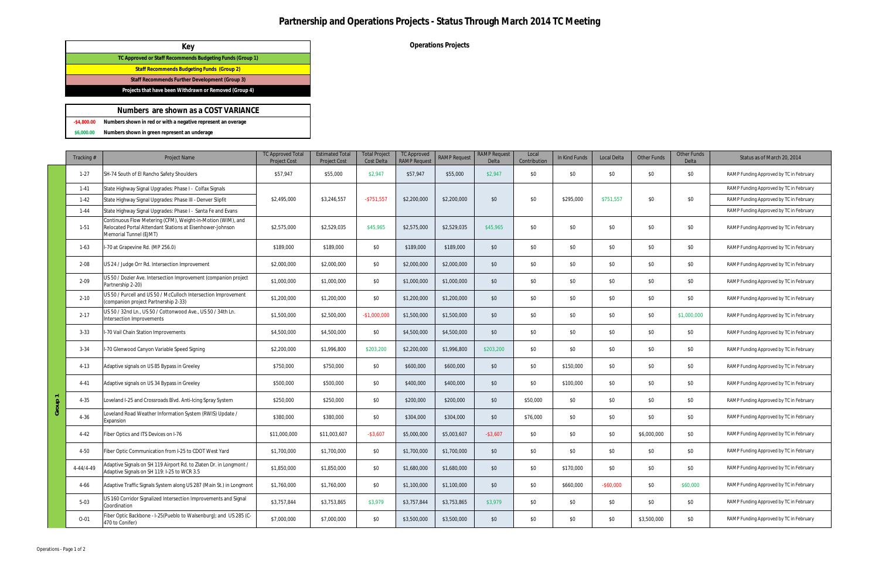## **Partnership and Operations Projects - Status Through March 2014 TC Meeting**

**Operations Projects**

|   | Tracking# | Project Name                                                                                                                                       | <b>TC Approved Total</b><br><b>Project Cost</b> | <b>Estimated Tota</b><br><b>Project Cost</b> | <b>Total Project</b><br><b>Cost Delta</b> | <b>TC Approved</b><br><b>RAMP Request</b> | <b>RAMP Request</b> | <b>RAMP Request</b><br>Delta | Local<br>Contribution | In Kind Funds | Local Delta  | <b>Other Funds</b> | Other Funds<br>Delta | Status as of March 20, 2014             |
|---|-----------|----------------------------------------------------------------------------------------------------------------------------------------------------|-------------------------------------------------|----------------------------------------------|-------------------------------------------|-------------------------------------------|---------------------|------------------------------|-----------------------|---------------|--------------|--------------------|----------------------|-----------------------------------------|
|   | $1-27$    | SH-74 South of El Rancho Safety Shoulders                                                                                                          | \$57,947                                        | \$55,000                                     | \$2,947                                   | \$57,947                                  | \$55,000            | \$2,947                      | \$0                   | \$0           | \$0          | \$0                | \$0                  | RAMP Funding Approved by TC in February |
|   | $1 - 41$  | State Highway Signal Upgrades: Phase I - Colfax Signals                                                                                            |                                                 |                                              |                                           |                                           |                     |                              |                       |               |              |                    |                      | RAMP Funding Approved by TC in February |
|   | $1-42$    | State Highway Signal Upgrades: Phase III - Denver Slipfit                                                                                          | \$2,495,000                                     | \$3,246,557                                  | $-$ \$751,557                             | \$2,200,000                               | \$2,200,000         | \$0                          | \$0                   | \$295,000     | \$751,557    | \$0                | \$0                  | RAMP Funding Approved by TC in February |
|   | $1 - 44$  | State Highway Signal Upgrades: Phase I - Santa Fe and Evans                                                                                        |                                                 |                                              |                                           |                                           |                     |                              |                       |               |              |                    |                      | RAMP Funding Approved by TC in February |
|   | $1-51$    | Continuous Flow Metering (CFM), Weight-in-Motion (WIM), and<br>Relocated Portal Attendant Stations at Eisenhower-Johnson<br>Memorial Tunnel (EJMT) | \$2,575,000                                     | \$2,529,035                                  | \$45,965                                  | \$2,575,000                               | \$2,529,035         | \$45,965                     | \$0                   | \$0           | \$0          | \$0                | \$0                  | RAMP Funding Approved by TC in February |
|   | $1-63$    | I-70 at Grapevine Rd. (MP 256.0)                                                                                                                   | \$189,000                                       | \$189,000                                    | \$0                                       | \$189,000                                 | \$189,000           | \$0                          | \$0                   | \$0           | \$0          | \$0                | \$0                  | RAMP Funding Approved by TC in February |
|   | $2 - 08$  | US 24 / Judge Orr Rd. Intersection Improvement                                                                                                     | \$2,000,000                                     | \$2,000,000                                  | \$0                                       | \$2,000,000                               | \$2,000,000         | \$0                          | \$0                   | \$0           | \$0          | \$0                | \$0                  | RAMP Funding Approved by TC in February |
|   | $2 - 09$  | US 50 / Dozier Ave. Intersection Improvement (companion project<br>Partnership 2-20)                                                               | \$1,000,000                                     | \$1,000,000                                  | \$0                                       | \$1,000,000                               | \$1,000,000         | \$0                          | \$0                   | \$0           | \$0          | \$0                | \$0                  | RAMP Funding Approved by TC in February |
|   | $2 - 10$  | US 50 / Purcell and US 50 / McCulloch Intersection Improvement<br>(companion project Partnership 2-33)                                             | \$1,200,000                                     | \$1,200,000                                  | \$0                                       | \$1,200,000                               | \$1,200,000         | \$0                          | \$0                   | \$0           | \$0          | \$0                | \$0                  | RAMP Funding Approved by TC in February |
|   | $2 - 17$  | US 50 / 32nd Ln., US 50 / Cottonwood Ave., US 50 / 34th Ln.<br>Intersection Improvements                                                           | \$1,500,000                                     | \$2,500,000                                  | $-$1,000,000$                             | \$1,500,000                               | \$1,500,000         | \$0                          | \$0                   | \$0           | \$0          | \$0                | \$1,000,000          | RAMP Funding Approved by TC in February |
|   | $3 - 33$  | I-70 Vail Chain Station Improvements                                                                                                               | \$4,500,000                                     | \$4,500,000                                  | \$0                                       | \$4,500,000                               | \$4,500,000         | \$0                          | \$0                   | \$0           | \$0          | \$0                | \$0                  | RAMP Funding Approved by TC in February |
|   | $3 - 34$  | I-70 Glenwood Canyon Variable Speed Signing                                                                                                        | \$2,200,000                                     | \$1,996,800                                  | \$203,200                                 | \$2,200,000                               | \$1,996,800         | \$203,200                    | \$0                   | \$0           | \$0          | \$0                | \$0                  | RAMP Funding Approved by TC in February |
|   | $4 - 13$  | Adaptive signals on US 85 Bypass in Greeley                                                                                                        | \$750,000                                       | \$750,000                                    | \$0                                       | \$600,000                                 | \$600,000           | \$0                          | \$0                   | \$150,000     | \$0          | \$0                | \$0                  | RAMP Funding Approved by TC in February |
|   | 4-41      | Adaptive signals on US 34 Bypass in Greeley                                                                                                        | \$500,000                                       | \$500,000                                    | \$0                                       | \$400,000                                 | \$400,000           | \$0                          | \$0                   | \$100,000     | \$0          | \$0                | \$0                  | RAMP Funding Approved by TC in February |
| ₽ | $4 - 35$  | Loveland I-25 and Crossroads Blvd. Anti-Icing Spray System                                                                                         | \$250,000                                       | \$250,000                                    | \$0                                       | \$200,000                                 | \$200,000           | \$0                          | \$50,000              | \$0           | \$0          | \$0                | \$0                  | RAMP Funding Approved by TC in February |
|   | $4 - 36$  | Loveland Road Weather Information System (RWIS) Update /<br>Expansion                                                                              | \$380,000                                       | \$380,000                                    | \$0                                       | \$304,000                                 | \$304,000           | \$0                          | \$76,000              | \$0           | \$0          | \$0                | \$0                  | RAMP Funding Approved by TC in February |
|   | $4 - 42$  | Fiber Optics and ITS Devices on I-76                                                                                                               | \$11,000,000                                    | \$11,003,607                                 | $-$3,607$                                 | \$5,000,000                               | \$5,003,607         | $-$ \$3,607                  | \$0                   | \$0           | \$0          | \$6,000,000        | \$0                  | RAMP Funding Approved by TC in February |
|   | 4-50      | Fiber Optic Communication from I-25 to CDOT West Yard                                                                                              | \$1,700,000                                     | \$1,700,000                                  | \$0                                       | \$1,700,000                               | \$1,700,000         | \$0                          | \$0                   | \$0           | \$0          | \$0                | \$0                  | RAMP Funding Approved by TC in February |
|   | 4-44/4-49 | Adaptive Signals on SH 119 Airport Rd. to Zlaten Dr. in Longmont /<br>Adaptive Signals on SH 119: I-25 to WCR 3.5                                  | \$1,850,000                                     | \$1,850,000                                  | \$0                                       | \$1,680,000                               | \$1,680,000         | \$0                          | \$0                   | \$170,000     | \$0          | \$0                | \$0                  | RAMP Funding Approved by TC in February |
|   | $4 - 66$  | Adaptive Traffic Signals System along US 287 (Main St.) in Longmont                                                                                | \$1,760,000                                     | \$1,760,000                                  | \$0                                       | \$1,100,000                               | \$1,100,000         | \$0                          | \$0                   | \$660,000     | $-$ \$60,000 | \$0                | \$60,000             | RAMP Funding Approved by TC in February |
|   | $5-03$    | US 160 Corridor Signalized Intersection Improvements and Signal<br>Coordination                                                                    | \$3,757,844                                     | \$3,753,865                                  | \$3,979                                   | \$3,757,844                               | \$3,753,865         | \$3,979                      | \$0                   | \$0           | \$0          | \$0                | \$0                  | RAMP Funding Approved by TC in February |
|   | $O - 01$  | Fiber Optic Backbone - I-25(Pueblo to Walsenburg); and US 285 (C-<br>470 to Conifer)                                                               | \$7,000,000                                     | \$7,000,000                                  | \$0                                       | \$3,500,000                               | \$3,500,000         | \$0                          | \$0                   | \$0           | \$0          | \$3,500,000        | \$0                  | RAMP Funding Approved by TC in February |

**-\$4,800.00 Numbers shown in red or with a negative represent an overage**

**\$6,000.00 Numbers shown in green represent an underage**

## **Key TC Approved or Staff Recommends Budgeting Funds (Group 1) Staff Recommends Budgeting Funds (Group 2) Staff Recommends Further Development (Group 3) Projects that have been Withdrawn or Removed (Group 4)**

#### **Numbers are shown as a COST VARIANCE**